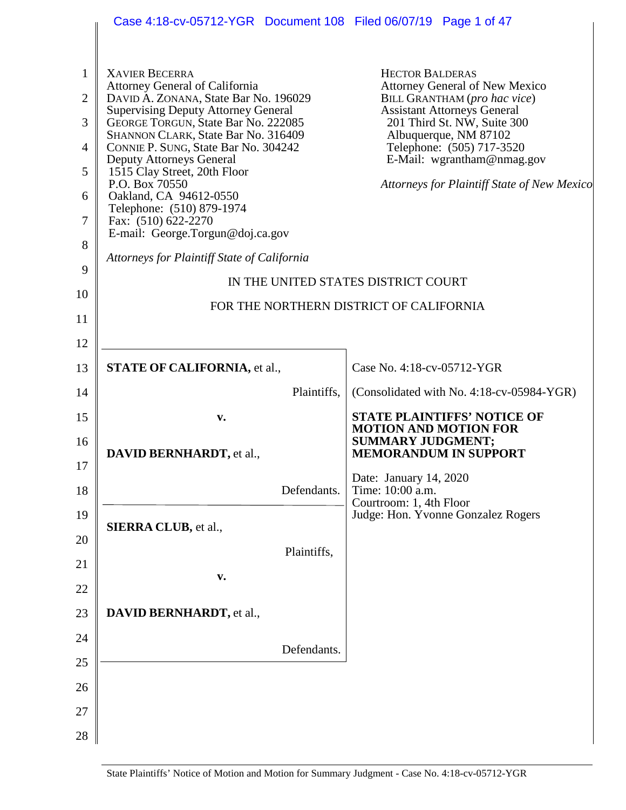|                                | Case 4:18-cv-05712-YGR  Document 108  Filed 06/07/19  Page 1 of 47                               |                                                                                                        |
|--------------------------------|--------------------------------------------------------------------------------------------------|--------------------------------------------------------------------------------------------------------|
|                                |                                                                                                  |                                                                                                        |
| $\mathbf{1}$<br>$\overline{2}$ | <b>XAVIER BECERRA</b><br>Attorney General of California<br>DAVID A. ZONANA, State Bar No. 196029 | <b>HECTOR BALDERAS</b><br><b>Attorney General of New Mexico</b><br><b>BILL GRANTHAM</b> (pro hac vice) |
|                                | <b>Supervising Deputy Attorney General</b>                                                       | <b>Assistant Attorneys General</b>                                                                     |
| 3                              | GEORGE TORGUN, State Bar No. 222085<br>SHANNON CLARK, State Bar No. 316409                       | 201 Third St. NW, Suite 300<br>Albuquerque, NM 87102                                                   |
| $\overline{4}$                 | CONNIE P. SUNG, State Bar No. 304242<br><b>Deputy Attorneys General</b>                          | Telephone: (505) 717-3520<br>E-Mail: wgrantham@nmag.gov                                                |
| 5                              | 1515 Clay Street, 20th Floor<br>P.O. Box 70550                                                   | Attorneys for Plaintiff State of New Mexico                                                            |
| 6                              | Oakland, CA 94612-0550<br>Telephone: (510) 879-1974                                              |                                                                                                        |
| $\overline{7}$                 | Fax: (510) 622-2270<br>E-mail: George.Torgun@doj.ca.gov                                          |                                                                                                        |
| 8                              |                                                                                                  |                                                                                                        |
| 9                              | Attorneys for Plaintiff State of California                                                      |                                                                                                        |
| 10                             |                                                                                                  | IN THE UNITED STATES DISTRICT COURT                                                                    |
| 11                             |                                                                                                  | FOR THE NORTHERN DISTRICT OF CALIFORNIA                                                                |
| 12                             |                                                                                                  |                                                                                                        |
| 13                             | <b>STATE OF CALIFORNIA, et al.,</b>                                                              | Case No. 4:18-cv-05712-YGR                                                                             |
| 14                             | Plaintiffs,                                                                                      | (Consolidated with No. 4:18-cv-05984-YGR)                                                              |
| 15                             | v.                                                                                               | <b>STATE PLAINTIFFS' NOTICE OF</b><br><b>MOTION AND MOTION FOR</b>                                     |
| 16                             | DAVID BERNHARDT, et al.,                                                                         | <b>SUMMARY JUDGMENT;</b><br><b>MEMORANDUM IN SUPPORT</b>                                               |
| 17                             |                                                                                                  | Date: January 14, 2020                                                                                 |
| 18                             | Defendants.                                                                                      | Time: 10:00 a.m.<br>Courtroom: 1, 4th Floor                                                            |
| 19                             | SIERRA CLUB, et al.,                                                                             | Judge: Hon. Yvonne Gonzalez Rogers                                                                     |
| 20                             | Plaintiffs,                                                                                      |                                                                                                        |
| 21                             | v.                                                                                               |                                                                                                        |
| 22                             |                                                                                                  |                                                                                                        |
| 23                             | DAVID BERNHARDT, et al.,                                                                         |                                                                                                        |
| 24                             | Defendants.                                                                                      |                                                                                                        |
| 25                             |                                                                                                  |                                                                                                        |
| 26                             |                                                                                                  |                                                                                                        |
| 27                             |                                                                                                  |                                                                                                        |
| 28                             |                                                                                                  |                                                                                                        |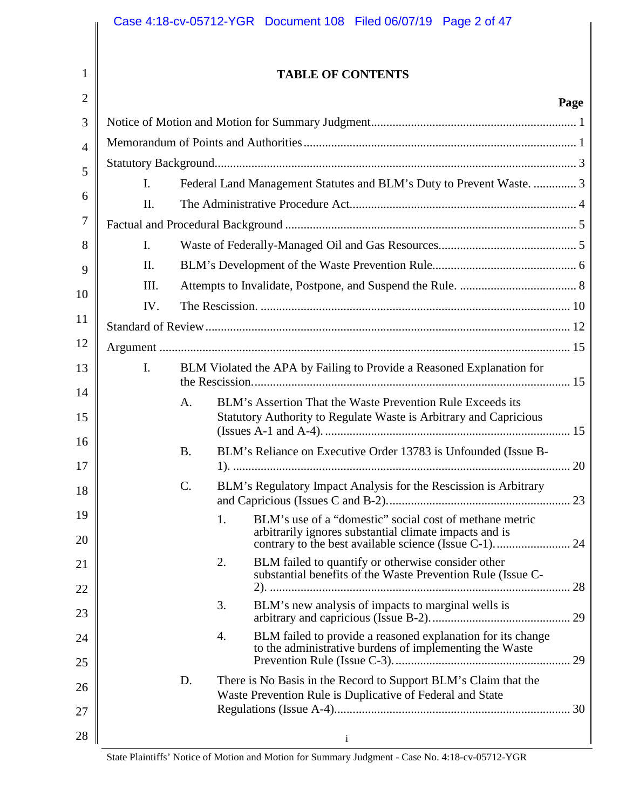|                |                |           | Case 4:18-cv-05712-YGR  Document 108  Filed 06/07/19  Page 2 of 47                                                              |                                                                      |
|----------------|----------------|-----------|---------------------------------------------------------------------------------------------------------------------------------|----------------------------------------------------------------------|
| 1              |                |           | <b>TABLE OF CONTENTS</b>                                                                                                        |                                                                      |
| $\overline{2}$ |                |           |                                                                                                                                 | Page                                                                 |
| 3              |                |           |                                                                                                                                 |                                                                      |
| $\overline{4}$ |                |           |                                                                                                                                 |                                                                      |
| 5              | I.             |           |                                                                                                                                 | Federal Land Management Statutes and BLM's Duty to Prevent Waste.  3 |
| 6              | II.            |           |                                                                                                                                 |                                                                      |
| 7              |                |           |                                                                                                                                 |                                                                      |
| 8              | $\mathbf{I}$ . |           |                                                                                                                                 |                                                                      |
| 9              | П.             |           |                                                                                                                                 |                                                                      |
| 10             | III.           |           |                                                                                                                                 |                                                                      |
| 11             | IV.            |           |                                                                                                                                 |                                                                      |
| 12             |                |           |                                                                                                                                 |                                                                      |
|                | $\mathbf{I}$ . |           |                                                                                                                                 |                                                                      |
| 13             |                |           | BLM Violated the APA by Failing to Provide a Reasoned Explanation for                                                           |                                                                      |
| 14<br>15       |                | A.        | BLM's Assertion That the Waste Prevention Rule Exceeds its<br>Statutory Authority to Regulate Waste is Arbitrary and Capricious |                                                                      |
| 16<br>17       |                | <b>B.</b> | BLM's Reliance on Executive Order 13783 is Unfounded (Issue B-                                                                  |                                                                      |
| 18             |                | C.        | BLM's Regulatory Impact Analysis for the Rescission is Arbitrary                                                                |                                                                      |
| 19<br>20       |                |           | BLM's use of a "domestic" social cost of methane metric<br>1.<br>arbitrarily ignores substantial climate impacts and is         |                                                                      |
| 21             |                |           | BLM failed to quantify or otherwise consider other<br>2.<br>substantial benefits of the Waste Prevention Rule (Issue C-         |                                                                      |
| 22<br>23       |                |           | BLM's new analysis of impacts to marginal wells is<br>3.                                                                        |                                                                      |
| 24             |                |           | 4.<br>to the administrative burdens of implementing the Waste                                                                   | BLM failed to provide a reasoned explanation for its change          |
| 25             |                | D.        | There is No Basis in the Record to Support BLM's Claim that the                                                                 |                                                                      |
| 26<br>27       |                |           | Waste Prevention Rule is Duplicative of Federal and State                                                                       |                                                                      |
| 28             |                |           | $\mathbf{i}$                                                                                                                    |                                                                      |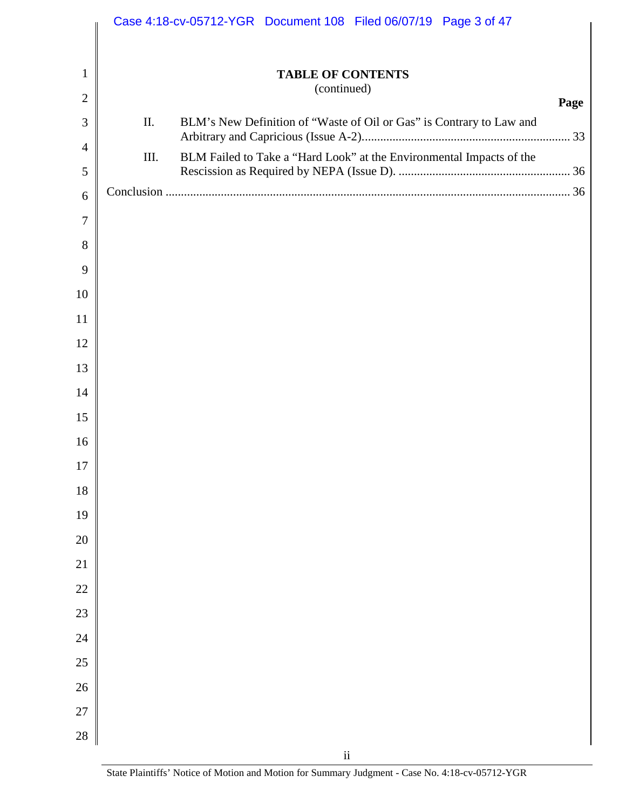|                | Case 4:18-cv-05712-YGR  Document 108  Filed 06/07/19  Page 3 of 47           |      |
|----------------|------------------------------------------------------------------------------|------|
|                |                                                                              |      |
| $\mathbf{1}$   | <b>TABLE OF CONTENTS</b>                                                     |      |
| $\mathbf{2}$   | (continued)                                                                  | Page |
| 3              | Π.<br>BLM's New Definition of "Waste of Oil or Gas" is Contrary to Law and   |      |
| $\overline{4}$ | BLM Failed to Take a "Hard Look" at the Environmental Impacts of the<br>III. |      |
| 5              |                                                                              |      |
| 6              |                                                                              |      |
| $\overline{7}$ |                                                                              |      |
| 8              |                                                                              |      |
| 9<br>10        |                                                                              |      |
| 11             |                                                                              |      |
| 12             |                                                                              |      |
| 13             |                                                                              |      |
| 14             |                                                                              |      |
| 15             |                                                                              |      |
| 16             |                                                                              |      |
| 17             |                                                                              |      |
| $18\,$         |                                                                              |      |
| 19             |                                                                              |      |
| 20             |                                                                              |      |
| 21             |                                                                              |      |
| $22\,$         |                                                                              |      |
| 23             |                                                                              |      |
| 24             |                                                                              |      |
| 25             |                                                                              |      |
| 26<br>27       |                                                                              |      |
| 28             |                                                                              |      |
|                | $\rm ii$                                                                     |      |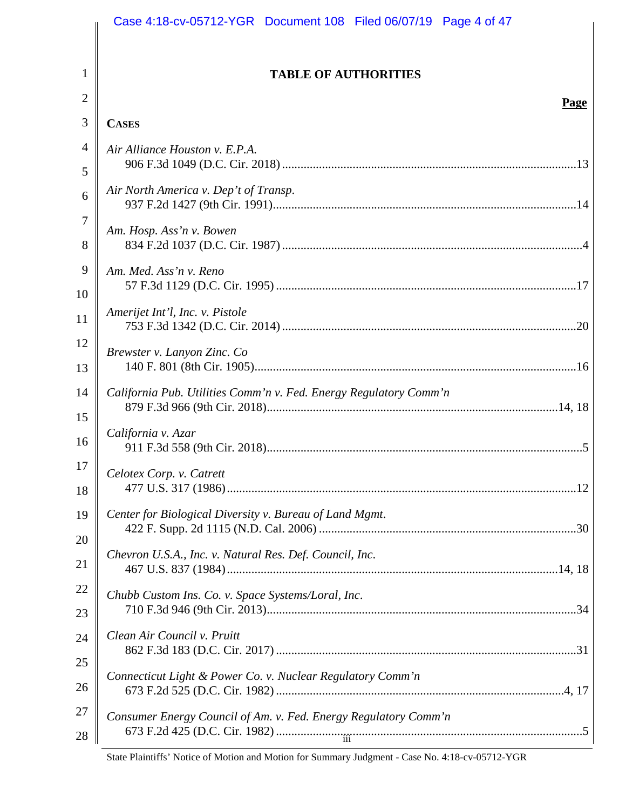|                | Case 4:18-cv-05712-YGR  Document 108  Filed 06/07/19  Page 4 of 47 |
|----------------|--------------------------------------------------------------------|
|                |                                                                    |
| 1              | <b>TABLE OF AUTHORITIES</b>                                        |
| $\overline{2}$ | Page                                                               |
| 3              | <b>CASES</b>                                                       |
| $\overline{4}$ | Air Alliance Houston v. E.P.A.                                     |
| 5              |                                                                    |
| 6              | Air North America v. Dep't of Transp.                              |
| 7              | Am. Hosp. Ass'n v. Bowen                                           |
| 8              |                                                                    |
| 9              | Am. Med. Ass'n v. Reno                                             |
| 10             | Amerijet Int'l, Inc. v. Pistole                                    |
| 11             |                                                                    |
| 12             | Brewster v. Lanyon Zinc. Co                                        |
| 13             |                                                                    |
| 14             | California Pub. Utilities Comm'n v. Fed. Energy Regulatory Comm'n  |
| 15             |                                                                    |
| 16             | California v. Azar                                                 |
| 17             | Celotex Corp. v. Catrett                                           |
| 18             |                                                                    |
| 19             | Center for Biological Diversity v. Bureau of Land Mgmt.            |
| 20             |                                                                    |
| 21             | Chevron U.S.A., Inc. v. Natural Res. Def. Council, Inc.            |
| 22             | Chubb Custom Ins. Co. v. Space Systems/Loral, Inc.                 |
| 23             |                                                                    |
| 24             | Clean Air Council v. Pruitt                                        |
| 25             |                                                                    |
| 26             | Connecticut Light & Power Co. v. Nuclear Regulatory Comm'n         |
| 27             | Consumer Energy Council of Am. v. Fed. Energy Regulatory Comm'n    |
| 28             |                                                                    |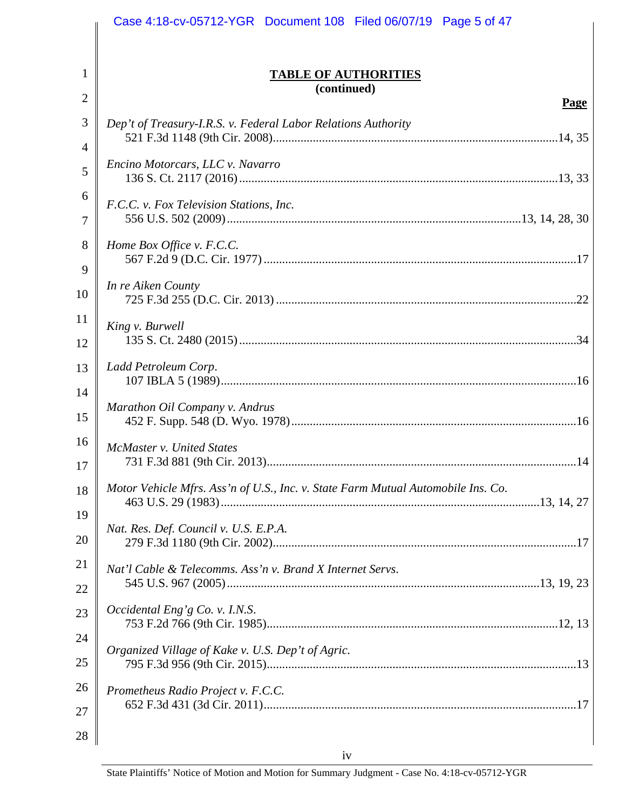|                | Case 4:18-cv-05712-YGR  Document 108  Filed 06/07/19  Page 5 of 47               |
|----------------|----------------------------------------------------------------------------------|
|                |                                                                                  |
| 1              | <b>TABLE OF AUTHORITIES</b>                                                      |
| $\overline{2}$ | (continued)<br>Page                                                              |
| 3              | Dep't of Treasury-I.R.S. v. Federal Labor Relations Authority                    |
| $\overline{4}$ |                                                                                  |
| 5              | Encino Motorcars, LLC v. Navarro                                                 |
| 6<br>7         | F.C.C. v. Fox Television Stations, Inc.                                          |
| 8              | Home Box Office v. F.C.C.                                                        |
| 9<br>10        | In re Aiken County                                                               |
| 11             | King v. Burwell                                                                  |
| 12             |                                                                                  |
| 13             | Ladd Petroleum Corp.                                                             |
| 14<br>15       | Marathon Oil Company v. Andrus                                                   |
| 16<br>17       | McMaster v. United States                                                        |
| 18             | Motor Vehicle Mfrs. Ass'n of U.S., Inc. v. State Farm Mutual Automobile Ins. Co. |
| 19<br>20       | Nat. Res. Def. Council v. U.S. E.P.A.                                            |
| 21             | Nat'l Cable & Telecomms. Ass'n v. Brand X Internet Servs.                        |
| 22             |                                                                                  |
| 23             | Occidental Eng'g Co. v. I.N.S.                                                   |
| 24             |                                                                                  |
| 25             | Organized Village of Kake v. U.S. Dep't of Agric.                                |
| 26             | Prometheus Radio Project v. F.C.C.                                               |
| 27             |                                                                                  |
| 28             |                                                                                  |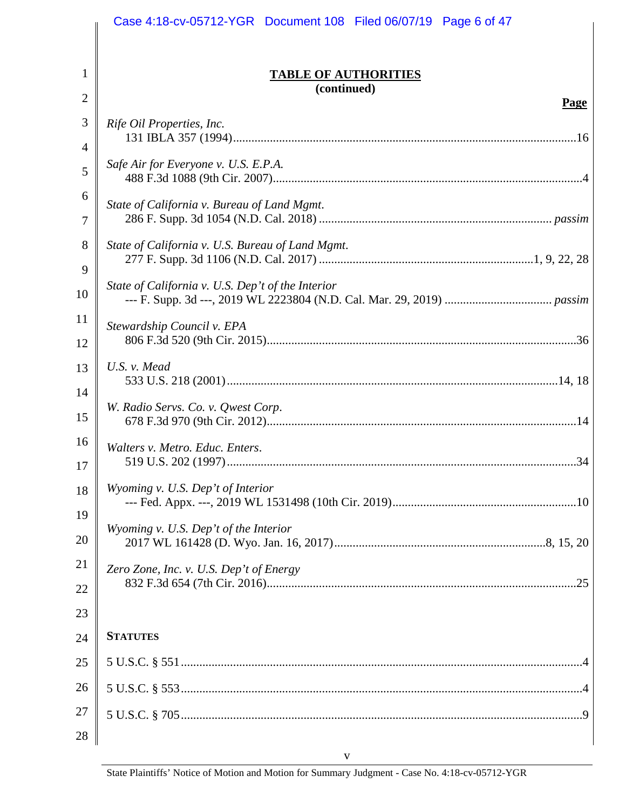|                | Case 4:18-cv-05712-YGR  Document 108  Filed 06/07/19  Page 6 of 47 |
|----------------|--------------------------------------------------------------------|
|                |                                                                    |
| 1              | <b>TABLE OF AUTHORITIES</b>                                        |
| $\overline{2}$ | (continued)<br><b>Page</b>                                         |
| 3              | Rife Oil Properties, Inc.                                          |
| 4              |                                                                    |
| 5              | Safe Air for Everyone v. U.S. E.P.A.                               |
| 6              | State of California v. Bureau of Land Mgmt.                        |
| 7              |                                                                    |
| 8              | State of California v. U.S. Bureau of Land Mgmt.                   |
| 9              |                                                                    |
| 10             | State of California v. U.S. Dep't of the Interior                  |
| 11             | Stewardship Council v. EPA                                         |
| 12             |                                                                    |
| 13             | U.S. v. Mead                                                       |
| 14             | W. Radio Servs. Co. v. Qwest Corp.                                 |
| 15             |                                                                    |
| 16             | Walters v. Metro. Educ. Enters.                                    |
| 17             |                                                                    |
| 18             | Wyoming v. U.S. Dep't of Interior                                  |
| 19             |                                                                    |
| 20             | Wyoming v. U.S. Dep't of the Interior                              |
| 21             | Zero Zone, Inc. v. U.S. Dep't of Energy                            |
| 22             | .25                                                                |
| 23             |                                                                    |
| 24             | <b>STATUTES</b>                                                    |
| 25             |                                                                    |
| 26             |                                                                    |
| 27             |                                                                    |
| 28             |                                                                    |

v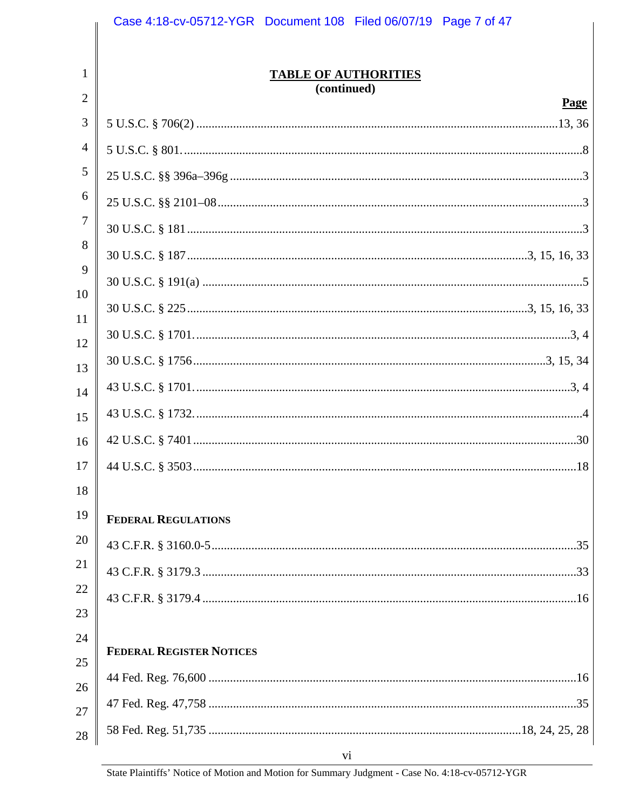|                | Case 4:18-cv-05712-YGR  Document 108  Filed 06/07/19  Page 7 of 47 |
|----------------|--------------------------------------------------------------------|
|                |                                                                    |
| 1              | <b>TABLE OF AUTHORITIES</b><br>(continued)                         |
| $\overline{2}$ | Page                                                               |
| 3              |                                                                    |
| 4              |                                                                    |
| 5              |                                                                    |
| 6              |                                                                    |
| $\overline{7}$ |                                                                    |
| 8              |                                                                    |
| 9              |                                                                    |
| 10<br>11       |                                                                    |
| 12             |                                                                    |
| 13             |                                                                    |
| 14             |                                                                    |
| 15             |                                                                    |
| 16             |                                                                    |
|                | .18                                                                |
| 18             |                                                                    |
| 19             | <b>FEDERAL REGULATIONS</b>                                         |
| 20             |                                                                    |
| 21             |                                                                    |
| 22             |                                                                    |
| 23             |                                                                    |
| 24             | <b>FEDERAL REGISTER NOTICES</b>                                    |
| 25             |                                                                    |
| 26             |                                                                    |
| 27             |                                                                    |
| 28             | vi                                                                 |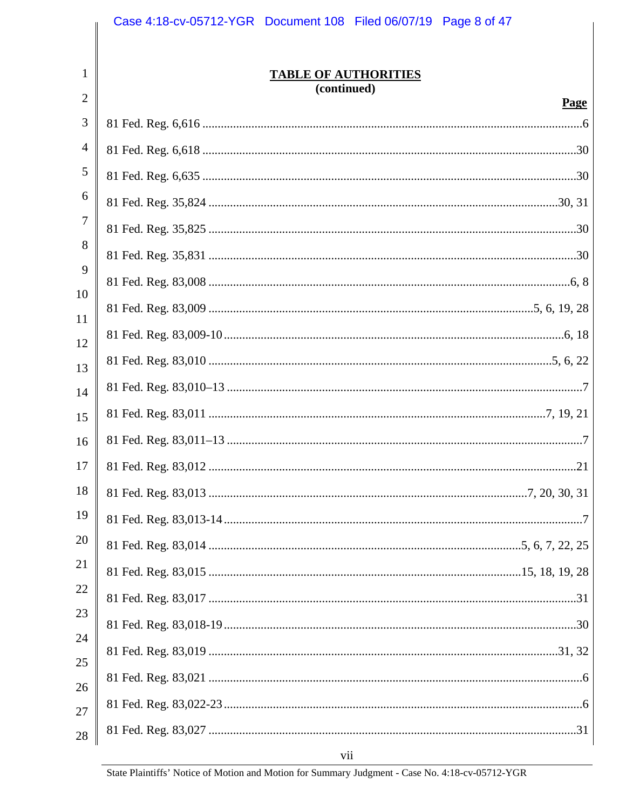|                | Case 4:18-cv-05712-YGR  Document 108  Filed 06/07/19  Page 8 of 47 |
|----------------|--------------------------------------------------------------------|
| 1              | <b>TABLE OF AUTHORITIES</b>                                        |
| $\overline{2}$ | (continued)<br><b>Page</b>                                         |
| 3              |                                                                    |
| 4              |                                                                    |
| 5              |                                                                    |
| 6              |                                                                    |
| 7              |                                                                    |
| 8              |                                                                    |
| 9              |                                                                    |
| 10             |                                                                    |
| 11             |                                                                    |
| 12<br>13       |                                                                    |
| 14             |                                                                    |
| 15             |                                                                    |
| 16             |                                                                    |
| 17             |                                                                    |
| 18             |                                                                    |
| 19             |                                                                    |
| 20             |                                                                    |
| 21             |                                                                    |
| 22             |                                                                    |
| 23             |                                                                    |
| 24<br>25       |                                                                    |
| 26             |                                                                    |
| 27             |                                                                    |
| 28             |                                                                    |
|                | vii                                                                |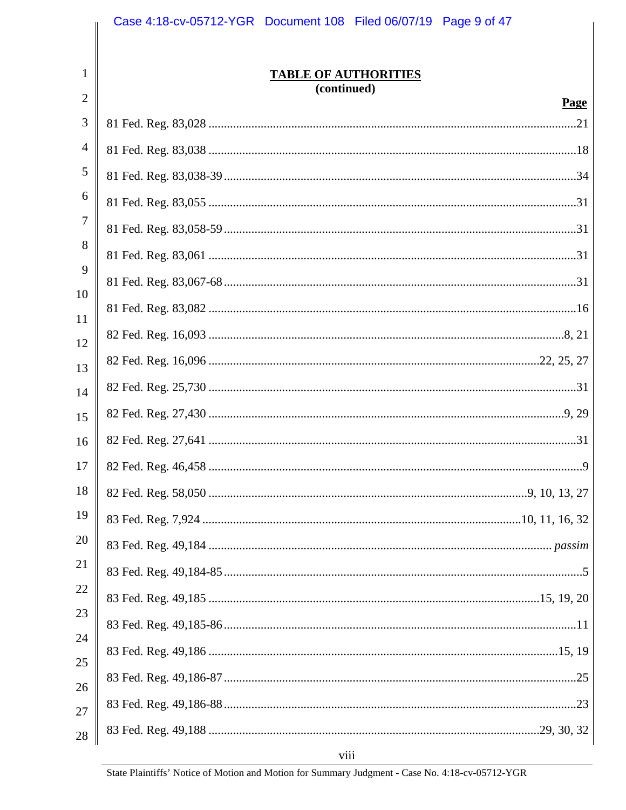|                | Case 4:18-cv-05712-YGR  Document 108  Filed 06/07/19  Page 9 of 47 |
|----------------|--------------------------------------------------------------------|
|                |                                                                    |
| 1              | <b>TABLE OF AUTHORITIES</b><br>(continued)                         |
| $\overline{2}$ | <b>Page</b>                                                        |
| 3              |                                                                    |
| 4              |                                                                    |
| 5              |                                                                    |
| 6              |                                                                    |
| 7              |                                                                    |
| 8<br>9         |                                                                    |
| 10             |                                                                    |
| 11             |                                                                    |
| 12             |                                                                    |
| 13             |                                                                    |
| 14             |                                                                    |
| 15             |                                                                    |
| 16             |                                                                    |
| 17             |                                                                    |
| 18             |                                                                    |
| 19             |                                                                    |
| 20             |                                                                    |
| 21             |                                                                    |
| 22             |                                                                    |
| 23             |                                                                    |
| 24             |                                                                    |
| 25<br>26       |                                                                    |
| 27             |                                                                    |
| 28             |                                                                    |
|                | viii                                                               |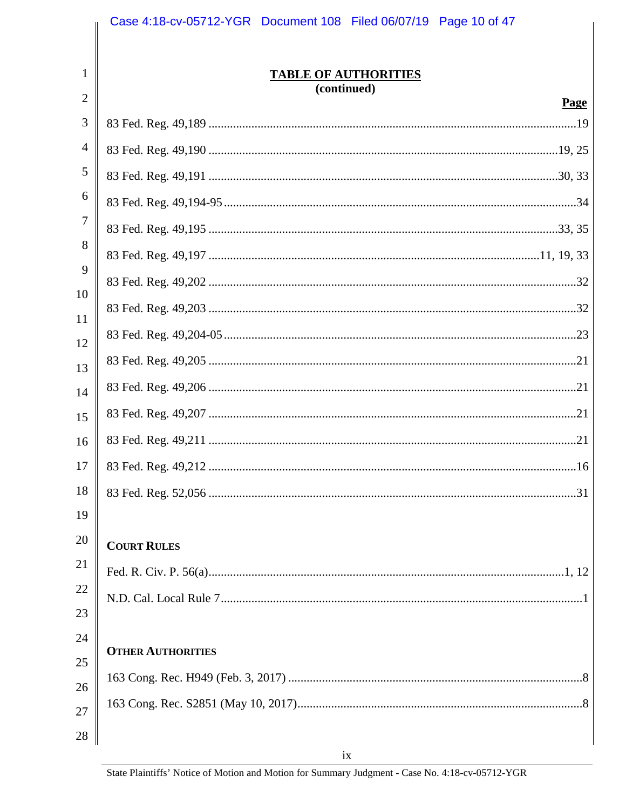|          | Case 4:18-cv-05712-YGR  Document 108  Filed 06/07/19  Page 10 of 47 |
|----------|---------------------------------------------------------------------|
|          |                                                                     |
| 1        | <b>TABLE OF AUTHORITIES</b>                                         |
| 2        | (continued)<br><b>Page</b>                                          |
| 3        |                                                                     |
| 4        |                                                                     |
| 5        |                                                                     |
| 6        |                                                                     |
| 7        |                                                                     |
| 8        |                                                                     |
| 9        |                                                                     |
| 10       |                                                                     |
| 11<br>12 |                                                                     |
| 13       |                                                                     |
| 14       |                                                                     |
| 15       |                                                                     |
| 16       |                                                                     |
| 17       | . 16                                                                |
| 18       |                                                                     |
| 19       |                                                                     |
| 20       | <b>COURT RULES</b>                                                  |
| 21       |                                                                     |
| 22       |                                                                     |
| 23       |                                                                     |
| 24       | <b>OTHER AUTHORITIES</b>                                            |
| 25       |                                                                     |
| 26       |                                                                     |
| 27<br>28 |                                                                     |
|          |                                                                     |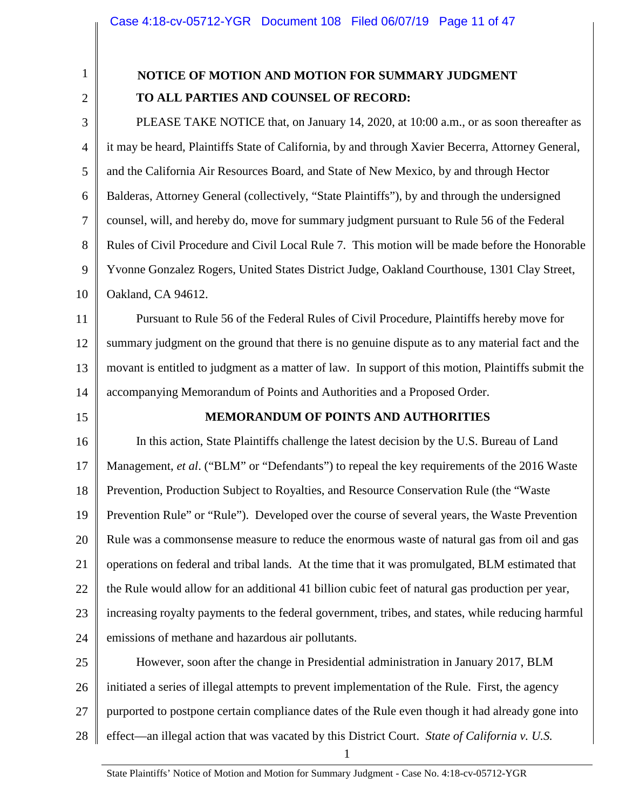1 2

# <span id="page-10-0"></span>**NOTICE OF MOTION AND MOTION FOR SUMMARY JUDGMENT TO ALL PARTIES AND COUNSEL OF RECORD:**

3 4 5 6 7 8 9 10 PLEASE TAKE NOTICE that, on January 14, 2020, at 10:00 a.m., or as soon thereafter as it may be heard, Plaintiffs State of California, by and through Xavier Becerra, Attorney General, and the California Air Resources Board, and State of New Mexico, by and through Hector Balderas, Attorney General (collectively, "State Plaintiffs"), by and through the undersigned counsel, will, and hereby do, move for summary judgment pursuant to Rule 56 of the Federal Rules of Civil Procedure and Civil Local Rule 7. This motion will be made before the Honorable Yvonne Gonzalez Rogers, United States District Judge, Oakland Courthouse, 1301 Clay Street, Oakland, CA 94612.

11 12 13 14 Pursuant to Rule 56 of the Federal Rules of Civil Procedure, Plaintiffs hereby move for summary judgment on the ground that there is no genuine dispute as to any material fact and the movant is entitled to judgment as a matter of law. In support of this motion, Plaintiffs submit the accompanying Memorandum of Points and Authorities and a Proposed Order.

# <span id="page-10-1"></span>15

# **MEMORANDUM OF POINTS AND AUTHORITIES**

16 17 18 19 20 21 22 23 24 In this action, State Plaintiffs challenge the latest decision by the U.S. Bureau of Land Management, *et al*. ("BLM" or "Defendants") to repeal the key requirements of the 2016 Waste Prevention, Production Subject to Royalties, and Resource Conservation Rule (the "Waste Prevention Rule" or "Rule"). Developed over the course of several years, the Waste Prevention Rule was a commonsense measure to reduce the enormous waste of natural gas from oil and gas operations on federal and tribal lands. At the time that it was promulgated, BLM estimated that the Rule would allow for an additional 41 billion cubic feet of natural gas production per year, increasing royalty payments to the federal government, tribes, and states, while reducing harmful emissions of methane and hazardous air pollutants.

25 26 27 28 However, soon after the change in Presidential administration in January 2017, BLM initiated a series of illegal attempts to prevent implementation of the Rule. First, the agency purported to postpone certain compliance dates of the Rule even though it had already gone into effect—an illegal action that was vacated by this District Court. *State of California v. U.S.*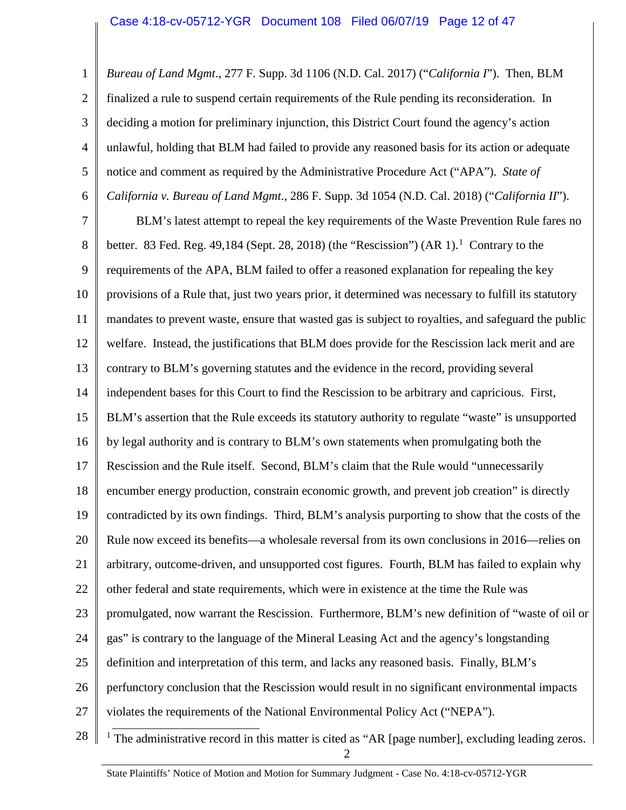1 2 3 4 5 6 *Bureau of Land Mgmt*., 277 F. Supp. 3d 1106 (N.D. Cal. 2017) ("*California I*"). Then, BLM finalized a rule to suspend certain requirements of the Rule pending its reconsideration. In deciding a motion for preliminary injunction, this District Court found the agency's action unlawful, holding that BLM had failed to provide any reasoned basis for its action or adequate notice and comment as required by the Administrative Procedure Act ("APA"). *State of California v. Bureau of Land Mgmt*., 286 F. Supp. 3d 1054 (N.D. Cal. 2018) ("*California II*").

<span id="page-11-0"></span>7 8 9 10 11 12 13 14 15 16 17 18 19 20 21 22 23 24 25 26 27 28 BLM's latest attempt to repeal the key requirements of the Waste Prevention Rule fares no better. 83 Fed. Reg. 49,[1](#page-11-0)84 (Sept. 28, 2018) (the "Rescission")  $(AR 1)$ .<sup>1</sup> Contrary to the requirements of the APA, BLM failed to offer a reasoned explanation for repealing the key provisions of a Rule that, just two years prior, it determined was necessary to fulfill its statutory mandates to prevent waste, ensure that wasted gas is subject to royalties, and safeguard the public welfare. Instead, the justifications that BLM does provide for the Rescission lack merit and are contrary to BLM's governing statutes and the evidence in the record, providing several independent bases for this Court to find the Rescission to be arbitrary and capricious. First, BLM's assertion that the Rule exceeds its statutory authority to regulate "waste" is unsupported by legal authority and is contrary to BLM's own statements when promulgating both the Rescission and the Rule itself. Second, BLM's claim that the Rule would "unnecessarily encumber energy production, constrain economic growth, and prevent job creation" is directly contradicted by its own findings. Third, BLM's analysis purporting to show that the costs of the Rule now exceed its benefits—a wholesale reversal from its own conclusions in 2016—relies on arbitrary, outcome-driven, and unsupported cost figures. Fourth, BLM has failed to explain why other federal and state requirements, which were in existence at the time the Rule was promulgated, now warrant the Rescission. Furthermore, BLM's new definition of "waste of oil or gas" is contrary to the language of the Mineral Leasing Act and the agency's longstanding definition and interpretation of this term, and lacks any reasoned basis. Finally, BLM's perfunctory conclusion that the Rescission would result in no significant environmental impacts violates the requirements of the National Environmental Policy Act ("NEPA"). <sup>1</sup> The administrative record in this matter is cited as "AR [page number], excluding leading zeros.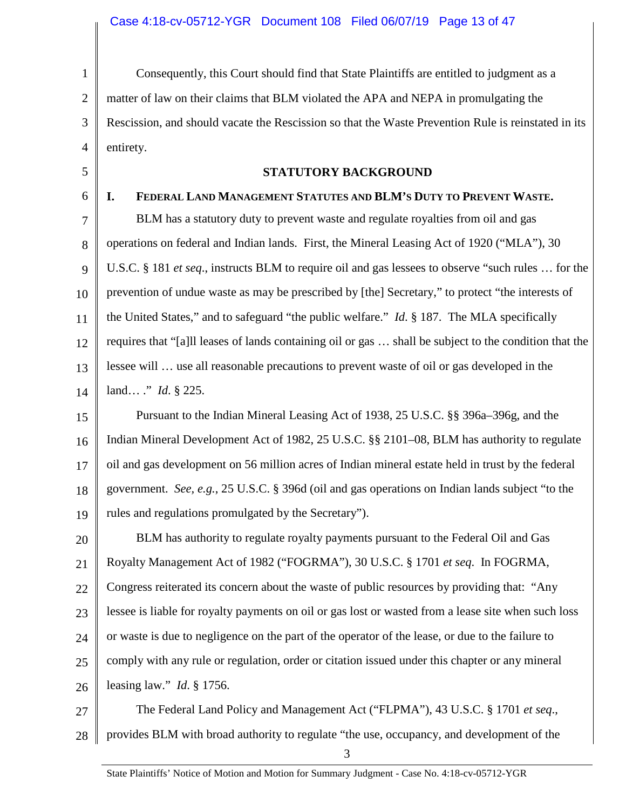1 2 3 4 Consequently, this Court should find that State Plaintiffs are entitled to judgment as a matter of law on their claims that BLM violated the APA and NEPA in promulgating the Rescission, and should vacate the Rescission so that the Waste Prevention Rule is reinstated in its entirety.

#### **STATUTORY BACKGROUND**

#### <span id="page-12-1"></span>**I. FEDERAL LAND MANAGEMENT STATUTES AND BLM'S DUTY TO PREVENT WASTE.**

<span id="page-12-0"></span>5

6

7 8 9 10 11 12 13 14 BLM has a statutory duty to prevent waste and regulate royalties from oil and gas operations on federal and Indian lands. First, the Mineral Leasing Act of 1920 ("MLA"), 30 U.S.C. § 181 *et seq*., instructs BLM to require oil and gas lessees to observe "such rules … for the prevention of undue waste as may be prescribed by [the] Secretary," to protect "the interests of the United States," and to safeguard "the public welfare." *Id*. § 187. The MLA specifically requires that "[a]ll leases of lands containing oil or gas … shall be subject to the condition that the lessee will … use all reasonable precautions to prevent waste of oil or gas developed in the land… ." *Id*. § 225.

15 16 17 18 19 Pursuant to the Indian Mineral Leasing Act of 1938, 25 U.S.C. §§ 396a–396g, and the Indian Mineral Development Act of 1982, 25 U.S.C. §§ 2101–08, BLM has authority to regulate oil and gas development on 56 million acres of Indian mineral estate held in trust by the federal government. *See, e.g.*, 25 U.S.C. § 396d (oil and gas operations on Indian lands subject "to the rules and regulations promulgated by the Secretary").

20 21 22 23 24 25 26 BLM has authority to regulate royalty payments pursuant to the Federal Oil and Gas Royalty Management Act of 1982 ("FOGRMA"), 30 U.S.C. § 1701 *et seq*. In FOGRMA, Congress reiterated its concern about the waste of public resources by providing that: "Any lessee is liable for royalty payments on oil or gas lost or wasted from a lease site when such loss or waste is due to negligence on the part of the operator of the lease, or due to the failure to comply with any rule or regulation, order or citation issued under this chapter or any mineral leasing law." *Id*. § 1756.

27 28 The Federal Land Policy and Management Act ("FLPMA"), 43 U.S.C. § 1701 *et seq*., provides BLM with broad authority to regulate "the use, occupancy, and development of the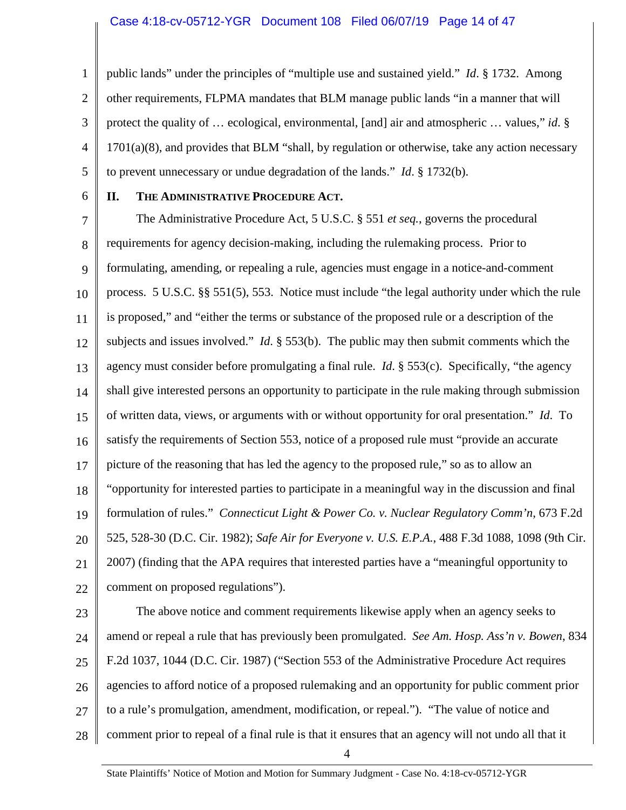1 2 3 4 5 public lands" under the principles of "multiple use and sustained yield." *Id*. § 1732. Among other requirements, FLPMA mandates that BLM manage public lands "in a manner that will protect the quality of … ecological, environmental, [and] air and atmospheric … values," *id*. § 1701(a)(8), and provides that BLM "shall, by regulation or otherwise, take any action necessary to prevent unnecessary or undue degradation of the lands." *Id*. § 1732(b).

6

# <span id="page-13-0"></span>**II. THE ADMINISTRATIVE PROCEDURE ACT.**

7 8 9 10 11 12 13 14 15 16 17 18 19 20 21 22 The Administrative Procedure Act, 5 U.S.C. § 551 *et seq.*, governs the procedural requirements for agency decision-making, including the rulemaking process. Prior to formulating, amending, or repealing a rule, agencies must engage in a notice-and-comment process. 5 U.S.C. §§ 551(5), 553. Notice must include "the legal authority under which the rule is proposed," and "either the terms or substance of the proposed rule or a description of the subjects and issues involved." *Id*. § 553(b). The public may then submit comments which the agency must consider before promulgating a final rule. *Id*. § 553(c). Specifically, "the agency shall give interested persons an opportunity to participate in the rule making through submission of written data, views, or arguments with or without opportunity for oral presentation." *Id*. To satisfy the requirements of Section 553, notice of a proposed rule must "provide an accurate picture of the reasoning that has led the agency to the proposed rule," so as to allow an "opportunity for interested parties to participate in a meaningful way in the discussion and final formulation of rules." *Connecticut Light & Power Co. v. Nuclear Regulatory Comm'n*, 673 F.2d 525, 528-30 (D.C. Cir. 1982); *Safe Air for Everyone v. U.S. E.P.A.*, 488 F.3d 1088, 1098 (9th Cir. 2007) (finding that the APA requires that interested parties have a "meaningful opportunity to comment on proposed regulations").

23 24 25 26 27 28 The above notice and comment requirements likewise apply when an agency seeks to amend or repeal a rule that has previously been promulgated. *See Am. Hosp. Ass'n v. Bowen*, 834 F.2d 1037, 1044 (D.C. Cir. 1987) ("Section 553 of the Administrative Procedure Act requires agencies to afford notice of a proposed rulemaking and an opportunity for public comment prior to a rule's promulgation, amendment, modification, or repeal."). "The value of notice and comment prior to repeal of a final rule is that it ensures that an agency will not undo all that it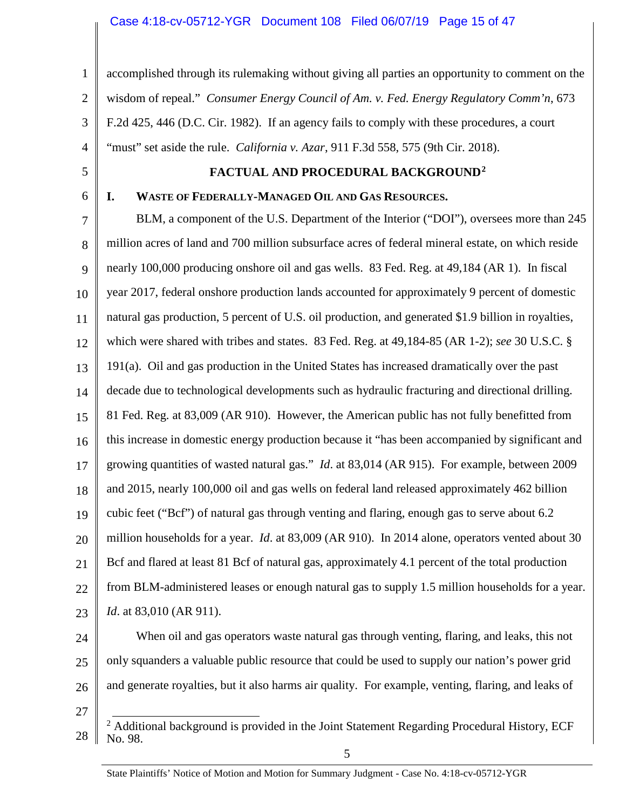#### Case 4:18-cv-05712-YGR Document 108 Filed 06/07/19 Page 15 of 47

1 2 3 4 accomplished through its rulemaking without giving all parties an opportunity to comment on the wisdom of repeal." *Consumer Energy Council of Am. v. Fed. Energy Regulatory Comm'n*, 673 F.2d 425, 446 (D.C. Cir. 1982). If an agency fails to comply with these procedures, a court "must" set aside the rule. *California v. Azar*, 911 F.3d 558, 575 (9th Cir. 2018).

<span id="page-14-0"></span>5 6

#### **FACTUAL AND PROCEDURAL BACKGROUND[2](#page-14-2)**

<span id="page-14-1"></span>**I. WASTE OF FEDERALLY-MANAGED OIL AND GAS RESOURCES.**

7 8 9 10 11 12 13 14 15 16 17 18 19 20 21 22 23 BLM, a component of the U.S. Department of the Interior ("DOI"), oversees more than 245 million acres of land and 700 million subsurface acres of federal mineral estate, on which reside nearly 100,000 producing onshore oil and gas wells. 83 Fed. Reg. at 49,184 (AR 1). In fiscal year 2017, federal onshore production lands accounted for approximately 9 percent of domestic natural gas production, 5 percent of U.S. oil production, and generated \$1.9 billion in royalties, which were shared with tribes and states. 83 Fed. Reg. at 49,184-85 (AR 1-2); *see* 30 U.S.C. § 191(a). Oil and gas production in the United States has increased dramatically over the past decade due to technological developments such as hydraulic fracturing and directional drilling. 81 Fed. Reg. at 83,009 (AR 910). However, the American public has not fully benefitted from this increase in domestic energy production because it "has been accompanied by significant and growing quantities of wasted natural gas." *Id*. at 83,014 (AR 915). For example, between 2009 and 2015, nearly 100,000 oil and gas wells on federal land released approximately 462 billion cubic feet ("Bcf") of natural gas through venting and flaring, enough gas to serve about 6.2 million households for a year. *Id*. at 83,009 (AR 910). In 2014 alone, operators vented about 30 Bcf and flared at least 81 Bcf of natural gas, approximately 4.1 percent of the total production from BLM-administered leases or enough natural gas to supply 1.5 million households for a year. *Id.* at 83,010 (AR 911).

24 25 26 When oil and gas operators waste natural gas through venting, flaring, and leaks, this not only squanders a valuable public resource that could be used to supply our nation's power grid and generate royalties, but it also harms air quality. For example, venting, flaring, and leaks of

<span id="page-14-2"></span><sup>28</sup> <sup>2</sup> Additional background is provided in the Joint Statement Regarding Procedural History, ECF No. 98.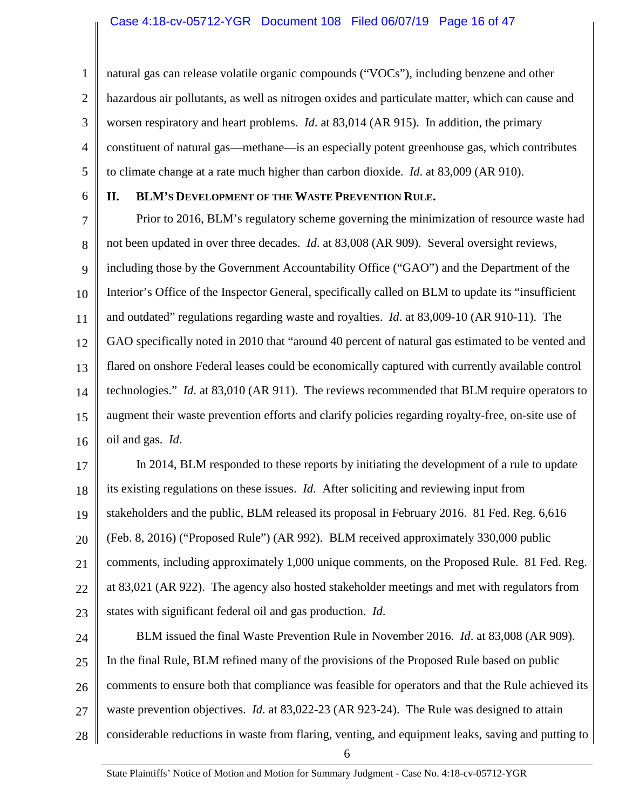1 2 3 4 5 natural gas can release volatile organic compounds ("VOCs"), including benzene and other hazardous air pollutants, as well as nitrogen oxides and particulate matter, which can cause and worsen respiratory and heart problems. *Id*. at 83,014 (AR 915). In addition, the primary constituent of natural gas—methane—is an especially potent greenhouse gas, which contributes to climate change at a rate much higher than carbon dioxide. *Id*. at 83,009 (AR 910).

6

# <span id="page-15-0"></span>**II. BLM'S DEVELOPMENT OF THE WASTE PREVENTION RULE.**

7 8 9 10 11 12 13 14 15 16 Prior to 2016, BLM's regulatory scheme governing the minimization of resource waste had not been updated in over three decades. *Id*. at 83,008 (AR 909). Several oversight reviews, including those by the Government Accountability Office ("GAO") and the Department of the Interior's Office of the Inspector General, specifically called on BLM to update its "insufficient and outdated" regulations regarding waste and royalties. *Id*. at 83,009-10 (AR 910-11). The GAO specifically noted in 2010 that "around 40 percent of natural gas estimated to be vented and flared on onshore Federal leases could be economically captured with currently available control technologies." *Id*. at 83,010 (AR 911). The reviews recommended that BLM require operators to augment their waste prevention efforts and clarify policies regarding royalty-free, on-site use of oil and gas. *Id*.

17 18 19 20 21 22 23 In 2014, BLM responded to these reports by initiating the development of a rule to update its existing regulations on these issues. *Id*. After soliciting and reviewing input from stakeholders and the public, BLM released its proposal in February 2016. 81 Fed. Reg. 6,616 (Feb. 8, 2016) ("Proposed Rule") (AR 992). BLM received approximately 330,000 public comments, including approximately 1,000 unique comments, on the Proposed Rule. 81 Fed. Reg. at 83,021 (AR 922). The agency also hosted stakeholder meetings and met with regulators from states with significant federal oil and gas production. *Id*.

24 25 26 27 28 BLM issued the final Waste Prevention Rule in November 2016. *Id*. at 83,008 (AR 909). In the final Rule, BLM refined many of the provisions of the Proposed Rule based on public comments to ensure both that compliance was feasible for operators and that the Rule achieved its waste prevention objectives. *Id*. at 83,022-23 (AR 923-24). The Rule was designed to attain considerable reductions in waste from flaring, venting, and equipment leaks, saving and putting to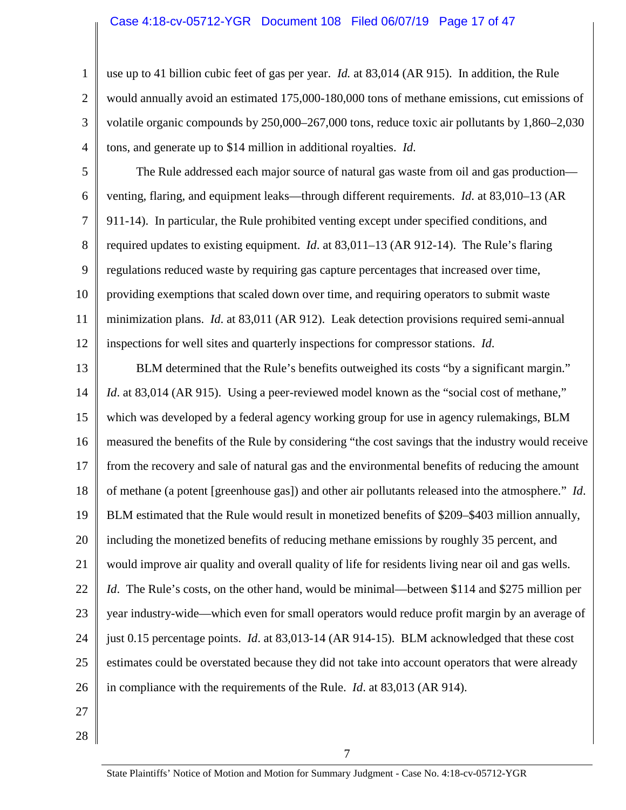### Case 4:18-cv-05712-YGR Document 108 Filed 06/07/19 Page 17 of 47

use up to 41 billion cubic feet of gas per year. *Id.* at 83,014 (AR 915). In addition, the Rule would annually avoid an estimated 175,000-180,000 tons of methane emissions, cut emissions of volatile organic compounds by 250,000–267,000 tons, reduce toxic air pollutants by 1,860–2,030 tons, and generate up to \$14 million in additional royalties. *Id*.

5 6 7 8 9 10 11 12 The Rule addressed each major source of natural gas waste from oil and gas production venting, flaring, and equipment leaks—through different requirements. *Id*. at 83,010–13 (AR 911-14). In particular, the Rule prohibited venting except under specified conditions, and required updates to existing equipment. *Id*. at 83,011–13 (AR 912-14). The Rule's flaring regulations reduced waste by requiring gas capture percentages that increased over time, providing exemptions that scaled down over time, and requiring operators to submit waste minimization plans. *Id*. at 83,011 (AR 912). Leak detection provisions required semi-annual inspections for well sites and quarterly inspections for compressor stations. *Id*.

13 14 15 16 17 18 19 20 21 22 23 24 25 26 27 BLM determined that the Rule's benefits outweighed its costs "by a significant margin." *Id.* at 83,014 (AR 915). Using a peer-reviewed model known as the "social cost of methane," which was developed by a federal agency working group for use in agency rulemakings, BLM measured the benefits of the Rule by considering "the cost savings that the industry would receive from the recovery and sale of natural gas and the environmental benefits of reducing the amount of methane (a potent [greenhouse gas]) and other air pollutants released into the atmosphere." *Id*. BLM estimated that the Rule would result in monetized benefits of \$209–\$403 million annually, including the monetized benefits of reducing methane emissions by roughly 35 percent, and would improve air quality and overall quality of life for residents living near oil and gas wells. *Id*. The Rule's costs, on the other hand, would be minimal—between \$114 and \$275 million per year industry-wide—which even for small operators would reduce profit margin by an average of just 0.15 percentage points. *Id*. at 83,013-14 (AR 914-15). BLM acknowledged that these cost estimates could be overstated because they did not take into account operators that were already in compliance with the requirements of the Rule. *Id*. at 83,013 (AR 914).

28

1

2

3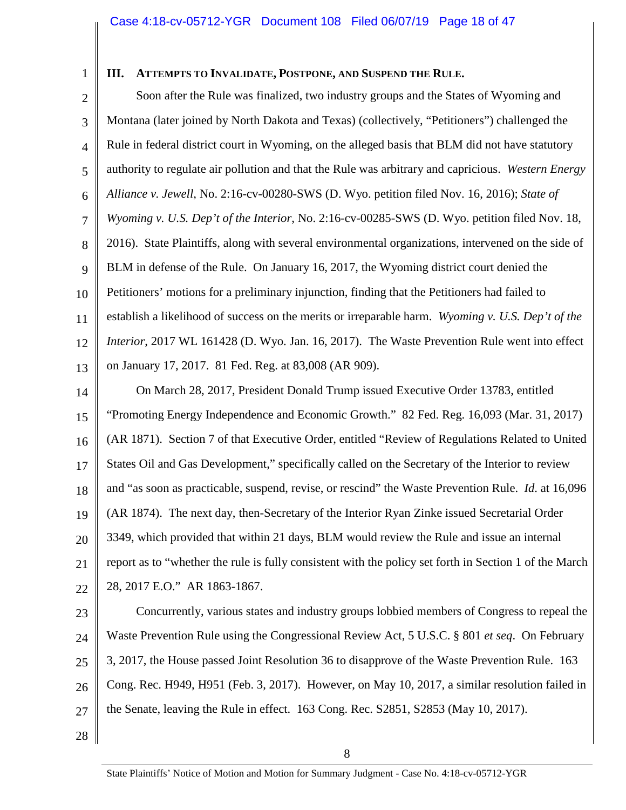1

#### <span id="page-17-0"></span>**III. ATTEMPTS TO INVALIDATE, POSTPONE, AND SUSPEND THE RULE.**

2 3 4 5 6 7 8 9 10 11 12 13 Soon after the Rule was finalized, two industry groups and the States of Wyoming and Montana (later joined by North Dakota and Texas) (collectively, "Petitioners") challenged the Rule in federal district court in Wyoming, on the alleged basis that BLM did not have statutory authority to regulate air pollution and that the Rule was arbitrary and capricious. *Western Energy Alliance v. Jewell*, No. 2:16-cv-00280-SWS (D. Wyo. petition filed Nov. 16, 2016); *State of Wyoming v. U.S. Dep't of the Interior*, No. 2:16-cv-00285-SWS (D. Wyo. petition filed Nov. 18, 2016). State Plaintiffs, along with several environmental organizations, intervened on the side of BLM in defense of the Rule. On January 16, 2017, the Wyoming district court denied the Petitioners' motions for a preliminary injunction, finding that the Petitioners had failed to establish a likelihood of success on the merits or irreparable harm. *Wyoming v. U.S. Dep't of the Interior*, 2017 WL 161428 (D. Wyo. Jan. 16, 2017). The Waste Prevention Rule went into effect on January 17, 2017. 81 Fed. Reg. at 83,008 (AR 909).

14 15 16 17 18 19 20 21 22 On March 28, 2017, President Donald Trump issued Executive Order 13783, entitled "Promoting Energy Independence and Economic Growth." 82 Fed. Reg. 16,093 (Mar. 31, 2017) (AR 1871). Section 7 of that Executive Order, entitled "Review of Regulations Related to United States Oil and Gas Development," specifically called on the Secretary of the Interior to review and "as soon as practicable, suspend, revise, or rescind" the Waste Prevention Rule. *Id*. at 16,096 (AR 1874). The next day, then-Secretary of the Interior Ryan Zinke issued Secretarial Order 3349, which provided that within 21 days, BLM would review the Rule and issue an internal report as to "whether the rule is fully consistent with the policy set forth in Section 1 of the March 28, 2017 E.O." AR 1863-1867.

23

24 25 26 27 Concurrently, various states and industry groups lobbied members of Congress to repeal the Waste Prevention Rule using the Congressional Review Act, 5 U.S.C. § 801 *et seq*. On February 3, 2017, the House passed Joint Resolution 36 to disapprove of the Waste Prevention Rule. 163 Cong. Rec. H949, H951 (Feb. 3, 2017). However, on May 10, 2017, a similar resolution failed in the Senate, leaving the Rule in effect. 163 Cong. Rec. S2851, S2853 (May 10, 2017).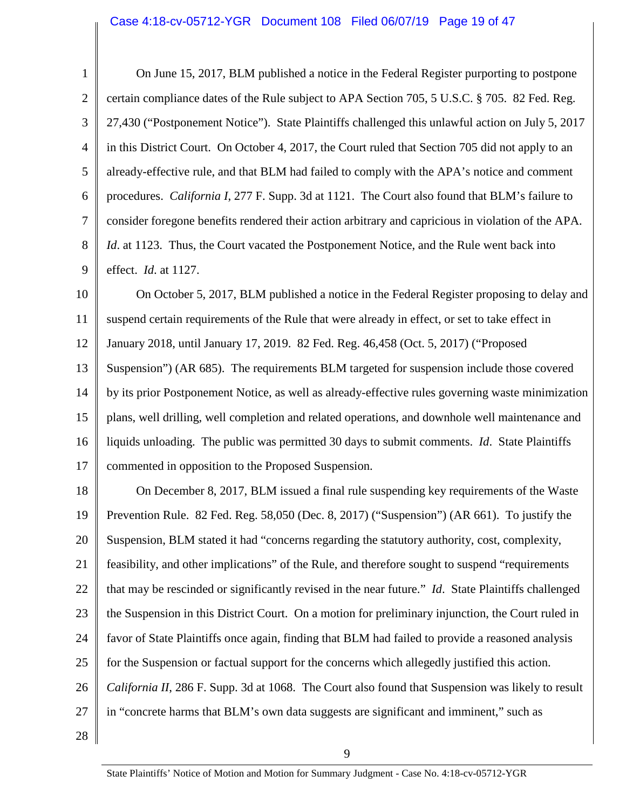# Case 4:18-cv-05712-YGR Document 108 Filed 06/07/19 Page 19 of 47

| $\mathbf{1}$   | On June 15, 2017, BLM published a notice in the Federal Register purporting to postpone                    |
|----------------|------------------------------------------------------------------------------------------------------------|
| $\overline{2}$ | certain compliance dates of the Rule subject to APA Section 705, 5 U.S.C. § 705. 82 Fed. Reg.              |
| 3              | 27,430 ("Postponement Notice"). State Plaintiffs challenged this unlawful action on July 5, 2017           |
| 4              | in this District Court. On October 4, 2017, the Court ruled that Section 705 did not apply to an           |
| 5              | already-effective rule, and that BLM had failed to comply with the APA's notice and comment                |
| 6              | procedures. <i>California I</i> , 277 F. Supp. 3d at 1121. The Court also found that BLM's failure to      |
| 7              | consider foregone benefits rendered their action arbitrary and capricious in violation of the APA.         |
| 8              | <i>Id.</i> at 1123. Thus, the Court vacated the Postponement Notice, and the Rule went back into           |
| 9              | effect. Id. at 1127.                                                                                       |
| 10             | On October 5, 2017, BLM published a notice in the Federal Register proposing to delay and                  |
| 11             | suspend certain requirements of the Rule that were already in effect, or set to take effect in             |
| 12             | January 2018, until January 17, 2019. 82 Fed. Reg. 46,458 (Oct. 5, 2017) ("Proposed                        |
| 13             | Suspension") (AR 685). The requirements BLM targeted for suspension include those covered                  |
| 14             | by its prior Postponement Notice, as well as already-effective rules governing waste minimization          |
| 15             | plans, well drilling, well completion and related operations, and downhole well maintenance and            |
| 16             | liquids unloading. The public was permitted 30 days to submit comments. Id. State Plaintiffs               |
| 17             | commented in opposition to the Proposed Suspension.                                                        |
| 18             | On December 8, 2017, BLM issued a final rule suspending key requirements of the Waste                      |
| 19             | Prevention Rule. 82 Fed. Reg. 58,050 (Dec. 8, 2017) ("Suspension") (AR 661). To justify the                |
| 20             | Suspension, BLM stated it had "concerns regarding the statutory authority, cost, complexity,               |
| 21             | feasibility, and other implications" of the Rule, and therefore sought to suspend "requirements"           |
| 22             | that may be rescinded or significantly revised in the near future." <i>Id.</i> State Plaintiffs challenged |
| 23             | the Suspension in this District Court. On a motion for preliminary injunction, the Court ruled in          |
| 24             | favor of State Plaintiffs once again, finding that BLM had failed to provide a reasoned analysis           |
| 25             | for the Suspension or factual support for the concerns which allegedly justified this action.              |
| 26             | California II, 286 F. Supp. 3d at 1068. The Court also found that Suspension was likely to result          |
| 27             | in "concrete harms that BLM's own data suggests are significant and imminent," such as                     |
| 28             |                                                                                                            |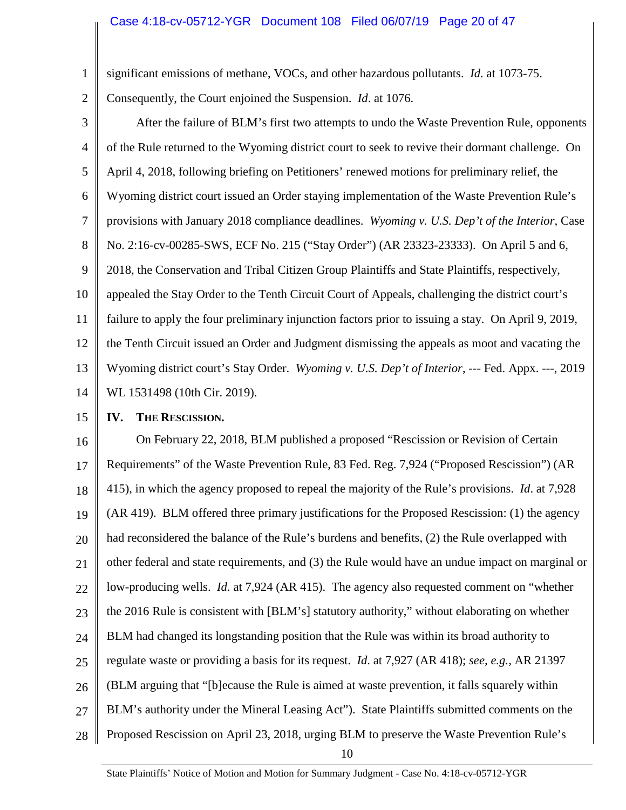1 significant emissions of methane, VOCs, and other hazardous pollutants. *Id*. at 1073-75.

2 Consequently, the Court enjoined the Suspension. *Id*. at 1076.

3 4 5 6 7 8 9 10 11 12 13 14 After the failure of BLM's first two attempts to undo the Waste Prevention Rule, opponents of the Rule returned to the Wyoming district court to seek to revive their dormant challenge. On April 4, 2018, following briefing on Petitioners' renewed motions for preliminary relief, the Wyoming district court issued an Order staying implementation of the Waste Prevention Rule's provisions with January 2018 compliance deadlines. *Wyoming v. U.S. Dep't of the Interior*, Case No. 2:16-cv-00285-SWS, ECF No. 215 ("Stay Order") (AR 23323-23333). On April 5 and 6, 2018, the Conservation and Tribal Citizen Group Plaintiffs and State Plaintiffs, respectively, appealed the Stay Order to the Tenth Circuit Court of Appeals, challenging the district court's failure to apply the four preliminary injunction factors prior to issuing a stay. On April 9, 2019, the Tenth Circuit issued an Order and Judgment dismissing the appeals as moot and vacating the Wyoming district court's Stay Order. *Wyoming v. U.S. Dep't of Interior*, --- Fed. Appx. ---, 2019 WL 1531498 (10th Cir. 2019).

#### <span id="page-19-0"></span>15 **IV. THE RESCISSION.**

16 17 18 19 20 21 22 23 24 25 26 27 28 On February 22, 2018, BLM published a proposed "Rescission or Revision of Certain Requirements" of the Waste Prevention Rule, 83 Fed. Reg. 7,924 ("Proposed Rescission") (AR 415), in which the agency proposed to repeal the majority of the Rule's provisions. *Id*. at 7,928 (AR 419). BLM offered three primary justifications for the Proposed Rescission: (1) the agency had reconsidered the balance of the Rule's burdens and benefits, (2) the Rule overlapped with other federal and state requirements, and (3) the Rule would have an undue impact on marginal or low-producing wells. *Id*. at 7,924 (AR 415). The agency also requested comment on "whether the 2016 Rule is consistent with [BLM's] statutory authority," without elaborating on whether BLM had changed its longstanding position that the Rule was within its broad authority to regulate waste or providing a basis for its request. *Id*. at 7,927 (AR 418); *see, e.g.,* AR 21397 (BLM arguing that "[b]ecause the Rule is aimed at waste prevention, it falls squarely within BLM's authority under the Mineral Leasing Act"). State Plaintiffs submitted comments on the Proposed Rescission on April 23, 2018, urging BLM to preserve the Waste Prevention Rule's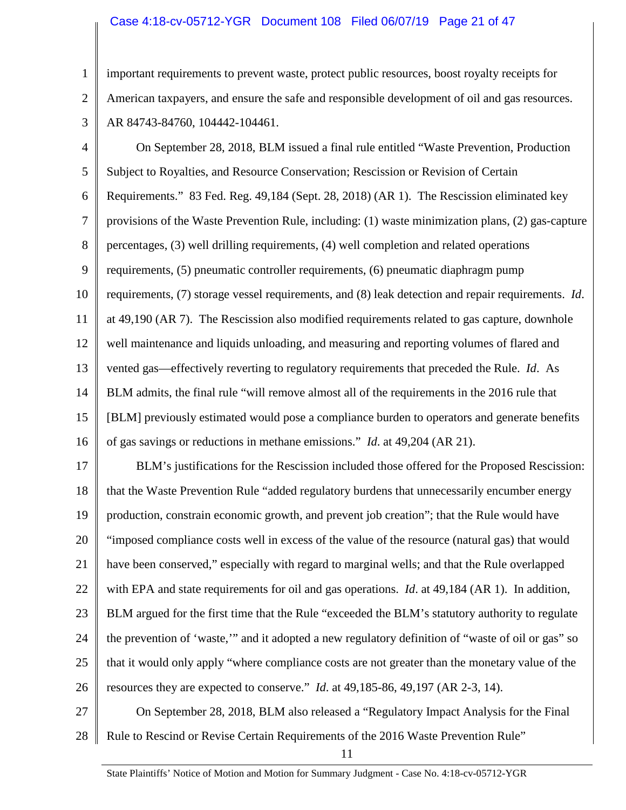# Case 4:18-cv-05712-YGR Document 108 Filed 06/07/19 Page 21 of 47

1 2 3 important requirements to prevent waste, protect public resources, boost royalty receipts for American taxpayers, and ensure the safe and responsible development of oil and gas resources. AR 84743-84760, 104442-104461.

4 5 6 7 8 9 10 11 12 13 14 15 16 On September 28, 2018, BLM issued a final rule entitled "Waste Prevention, Production Subject to Royalties, and Resource Conservation; Rescission or Revision of Certain Requirements." 83 Fed. Reg. 49,184 (Sept. 28, 2018) (AR 1). The Rescission eliminated key provisions of the Waste Prevention Rule, including: (1) waste minimization plans, (2) gas-capture percentages, (3) well drilling requirements, (4) well completion and related operations requirements, (5) pneumatic controller requirements, (6) pneumatic diaphragm pump requirements, (7) storage vessel requirements, and (8) leak detection and repair requirements. *Id*. at 49,190 (AR 7). The Rescission also modified requirements related to gas capture, downhole well maintenance and liquids unloading, and measuring and reporting volumes of flared and vented gas—effectively reverting to regulatory requirements that preceded the Rule. *Id*. As BLM admits, the final rule "will remove almost all of the requirements in the 2016 rule that [BLM] previously estimated would pose a compliance burden to operators and generate benefits of gas savings or reductions in methane emissions." *Id*. at 49,204 (AR 21).

17 18 19 20 21 22 23 24 25 26 BLM's justifications for the Rescission included those offered for the Proposed Rescission: that the Waste Prevention Rule "added regulatory burdens that unnecessarily encumber energy production, constrain economic growth, and prevent job creation"; that the Rule would have "imposed compliance costs well in excess of the value of the resource (natural gas) that would have been conserved," especially with regard to marginal wells; and that the Rule overlapped with EPA and state requirements for oil and gas operations. *Id*. at 49,184 (AR 1). In addition, BLM argued for the first time that the Rule "exceeded the BLM's statutory authority to regulate the prevention of 'waste,'" and it adopted a new regulatory definition of "waste of oil or gas" so that it would only apply "where compliance costs are not greater than the monetary value of the resources they are expected to conserve." *Id*. at 49,185-86, 49,197 (AR 2-3, 14).

27 28 On September 28, 2018, BLM also released a "Regulatory Impact Analysis for the Final Rule to Rescind or Revise Certain Requirements of the 2016 Waste Prevention Rule"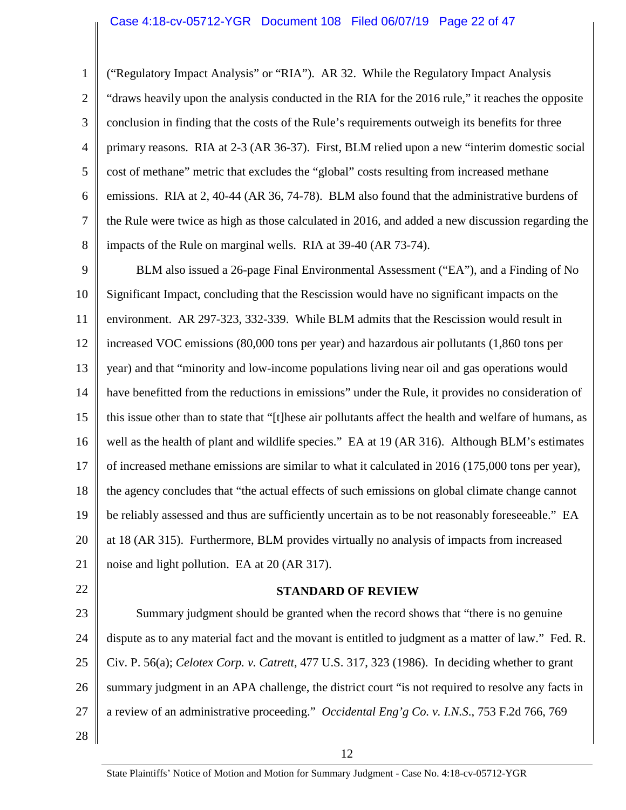#### Case 4:18-cv-05712-YGR Document 108 Filed 06/07/19 Page 22 of 47

1 2 3 4 5 6 7 8 ("Regulatory Impact Analysis" or "RIA"). AR 32. While the Regulatory Impact Analysis "draws heavily upon the analysis conducted in the RIA for the 2016 rule," it reaches the opposite conclusion in finding that the costs of the Rule's requirements outweigh its benefits for three primary reasons. RIA at 2-3 (AR 36-37). First, BLM relied upon a new "interim domestic social cost of methane" metric that excludes the "global" costs resulting from increased methane emissions. RIA at 2, 40-44 (AR 36, 74-78). BLM also found that the administrative burdens of the Rule were twice as high as those calculated in 2016, and added a new discussion regarding the impacts of the Rule on marginal wells. RIA at 39-40 (AR 73-74).

9 10 11 12 13 14 15 16 17 18 19 20 21 BLM also issued a 26-page Final Environmental Assessment ("EA"), and a Finding of No Significant Impact, concluding that the Rescission would have no significant impacts on the environment. AR 297-323, 332-339. While BLM admits that the Rescission would result in increased VOC emissions (80,000 tons per year) and hazardous air pollutants (1,860 tons per year) and that "minority and low-income populations living near oil and gas operations would have benefitted from the reductions in emissions" under the Rule, it provides no consideration of this issue other than to state that "[t]hese air pollutants affect the health and welfare of humans, as well as the health of plant and wildlife species." EA at 19 (AR 316). Although BLM's estimates of increased methane emissions are similar to what it calculated in 2016 (175,000 tons per year), the agency concludes that "the actual effects of such emissions on global climate change cannot be reliably assessed and thus are sufficiently uncertain as to be not reasonably foreseeable." EA at 18 (AR 315). Furthermore, BLM provides virtually no analysis of impacts from increased noise and light pollution. EA at 20 (AR 317).

<span id="page-21-0"></span>22

28

#### **STANDARD OF REVIEW**

23 24 25 26 27 Summary judgment should be granted when the record shows that "there is no genuine dispute as to any material fact and the movant is entitled to judgment as a matter of law." Fed. R. Civ. P. 56(a); *Celotex Corp. v. Catrett*, 477 U.S. 317, 323 (1986). In deciding whether to grant summary judgment in an APA challenge, the district court "is not required to resolve any facts in a review of an administrative proceeding." *Occidental Eng'g Co. v. I.N.S*., 753 F.2d 766, 769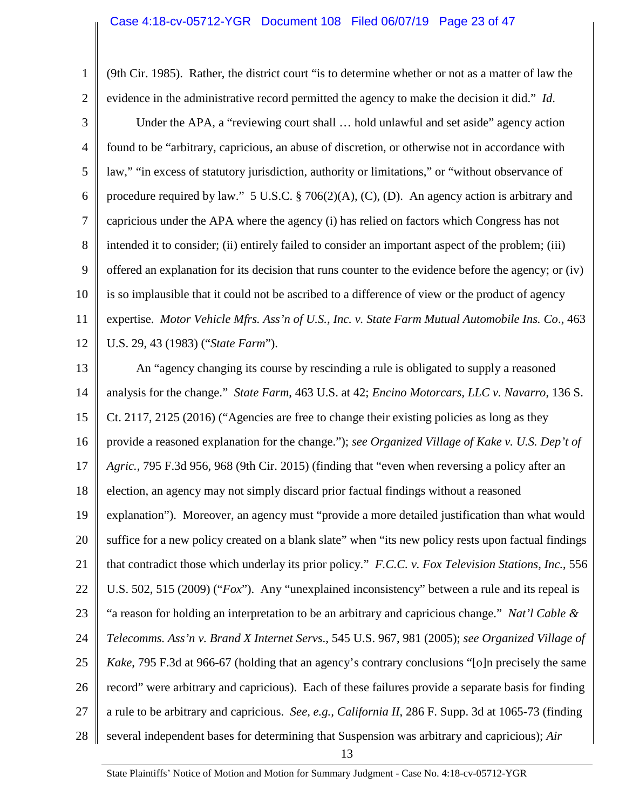1

2

(9th Cir. 1985). Rather, the district court "is to determine whether or not as a matter of law the evidence in the administrative record permitted the agency to make the decision it did." *Id*.

3 4 5 6 7 8 9 10 11 12 Under the APA, a "reviewing court shall … hold unlawful and set aside" agency action found to be "arbitrary, capricious, an abuse of discretion, or otherwise not in accordance with law," "in excess of statutory jurisdiction, authority or limitations," or "without observance of procedure required by law." 5 U.S.C. § 706(2)(A), (C), (D). An agency action is arbitrary and capricious under the APA where the agency (i) has relied on factors which Congress has not intended it to consider; (ii) entirely failed to consider an important aspect of the problem; (iii) offered an explanation for its decision that runs counter to the evidence before the agency; or (iv) is so implausible that it could not be ascribed to a difference of view or the product of agency expertise. *Motor Vehicle Mfrs. Ass'n of U.S., Inc. v. State Farm Mutual Automobile Ins. Co*., 463 U.S. 29, 43 (1983) ("*State Farm*").

13 14 15 16 17 18 19 20 21 22 23 24 25 26 27 28 An "agency changing its course by rescinding a rule is obligated to supply a reasoned analysis for the change." *State Farm*, 463 U.S. at 42; *Encino Motorcars, LLC v. Navarro*, 136 S. Ct. 2117, 2125 (2016) ("Agencies are free to change their existing policies as long as they provide a reasoned explanation for the change."); *see Organized Village of Kake v. U.S. Dep't of Agric.*, 795 F.3d 956, 968 (9th Cir. 2015) (finding that "even when reversing a policy after an election, an agency may not simply discard prior factual findings without a reasoned explanation"). Moreover, an agency must "provide a more detailed justification than what would suffice for a new policy created on a blank slate" when "its new policy rests upon factual findings that contradict those which underlay its prior policy." *F.C.C. v. Fox Television Stations, Inc.*, 556 U.S. 502, 515 (2009) ("*Fox*"). Any "unexplained inconsistency" between a rule and its repeal is "a reason for holding an interpretation to be an arbitrary and capricious change." *Nat'l Cable & Telecomms. Ass'n v. Brand X Internet Servs*., 545 U.S. 967, 981 (2005); *see Organized Village of Kake*, 795 F.3d at 966-67 (holding that an agency's contrary conclusions "[o]n precisely the same record" were arbitrary and capricious). Each of these failures provide a separate basis for finding a rule to be arbitrary and capricious. *See, e.g., California II*, 286 F. Supp. 3d at 1065-73 (finding several independent bases for determining that Suspension was arbitrary and capricious); *Air*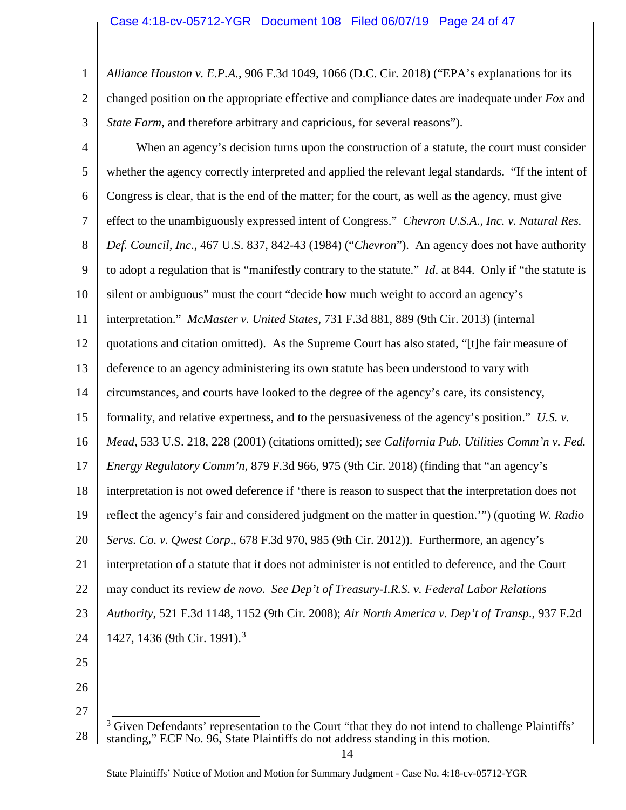1 2 3 *Alliance Houston v. E.P.A.*, 906 F.3d 1049, 1066 (D.C. Cir. 2018) ("EPA's explanations for its changed position on the appropriate effective and compliance dates are inadequate under *Fox* and *State Farm*, and therefore arbitrary and capricious, for several reasons").

4 5 6 7 8 9 10 11 12 13 14 15 16 17 18 19 20 21 22 23 24 25 When an agency's decision turns upon the construction of a statute, the court must consider whether the agency correctly interpreted and applied the relevant legal standards. "If the intent of Congress is clear, that is the end of the matter; for the court, as well as the agency, must give effect to the unambiguously expressed intent of Congress." *Chevron U.S.A., Inc. v. Natural Res. Def. Council, Inc*., 467 U.S. 837, 842-43 (1984) ("*Chevron*"). An agency does not have authority to adopt a regulation that is "manifestly contrary to the statute." *Id*. at 844. Only if "the statute is silent or ambiguous" must the court "decide how much weight to accord an agency's interpretation." *McMaster v. United States*, 731 F.3d 881, 889 (9th Cir. 2013) (internal quotations and citation omitted). As the Supreme Court has also stated, "[t]he fair measure of deference to an agency administering its own statute has been understood to vary with circumstances, and courts have looked to the degree of the agency's care, its consistency, formality, and relative expertness, and to the persuasiveness of the agency's position." *U.S. v. Mead*, 533 U.S. 218, 228 (2001) (citations omitted); *see California Pub. Utilities Comm'n v. Fed. Energy Regulatory Comm'n,* 879 F.3d 966, 975 (9th Cir. 2018) (finding that "an agency's interpretation is not owed deference if 'there is reason to suspect that the interpretation does not reflect the agency's fair and considered judgment on the matter in question.'") (quoting *W. Radio Servs. Co. v. Qwest Corp*., 678 F.3d 970, 985 (9th Cir. 2012)). Furthermore, an agency's interpretation of a statute that it does not administer is not entitled to deference, and the Court may conduct its review *de novo*. *See Dep't of Treasury-I.R.S. v. Federal Labor Relations Authority*, 521 F.3d 1148, 1152 (9th Cir. 2008); *Air North America v. Dep't of Transp*., 937 F.2d 1427, 1436 (9th Cir. 1991).[3](#page-23-0)

26

<span id="page-23-0"></span><sup>28</sup>  $3$  Given Defendants' representation to the Court "that they do not intend to challenge Plaintiffs' standing," ECF No. 96, State Plaintiffs do not address standing in this motion.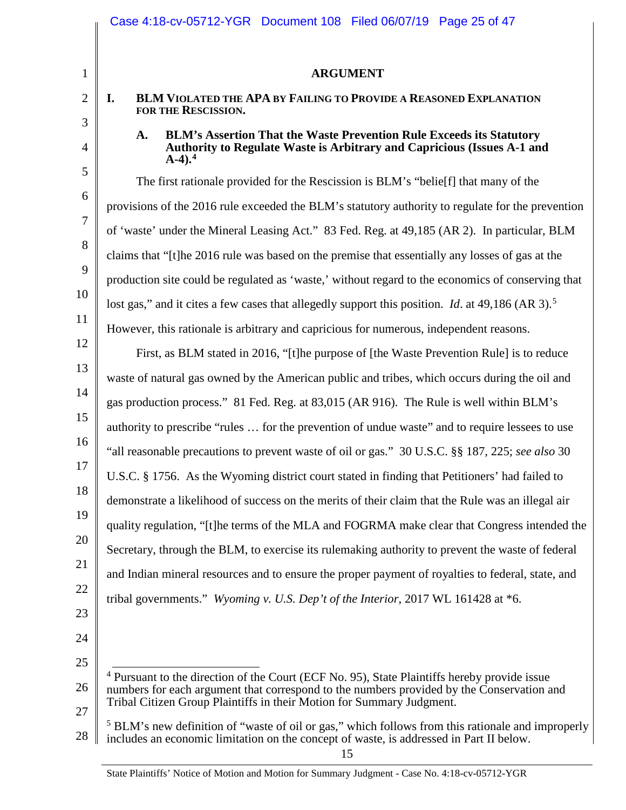<span id="page-24-4"></span><span id="page-24-3"></span><span id="page-24-2"></span><span id="page-24-1"></span><span id="page-24-0"></span>

|    | <b>ARGUMENT</b>                                                                                                                                                                                                                                                               |
|----|-------------------------------------------------------------------------------------------------------------------------------------------------------------------------------------------------------------------------------------------------------------------------------|
| I. | <b>BLM VIOLATED THE APA BY FAILING TO PROVIDE A REASONED EXPLANATION</b><br>FOR THE RESCISSION.                                                                                                                                                                               |
| A. | <b>BLM's Assertion That the Waste Prevention Rule Exceeds its Statutory</b><br>Authority to Regulate Waste is Arbitrary and Capricious (Issues A-1 and<br>$A-4$ ). <sup>4</sup>                                                                                               |
|    | The first rationale provided for the Rescission is BLM's "belieff] that many of the                                                                                                                                                                                           |
|    | provisions of the 2016 rule exceeded the BLM's statutory authority to regulate for the prevention                                                                                                                                                                             |
|    | of 'waste' under the Mineral Leasing Act." 83 Fed. Reg. at 49,185 (AR 2). In particular, BLM                                                                                                                                                                                  |
|    | claims that "[t] he 2016 rule was based on the premise that essentially any losses of gas at the                                                                                                                                                                              |
|    | production site could be regulated as 'waste,' without regard to the economics of conserving that                                                                                                                                                                             |
|    | lost gas," and it cites a few cases that allegedly support this position. <i>Id.</i> at 49,186 (AR 3). <sup>5</sup>                                                                                                                                                           |
|    | However, this rationale is arbitrary and capricious for numerous, independent reasons.                                                                                                                                                                                        |
|    | First, as BLM stated in 2016, "[t]he purpose of [the Waste Prevention Rule] is to reduce                                                                                                                                                                                      |
|    | waste of natural gas owned by the American public and tribes, which occurs during the oil and                                                                                                                                                                                 |
|    | gas production process." 81 Fed. Reg. at 83,015 (AR 916). The Rule is well within BLM's                                                                                                                                                                                       |
|    | authority to prescribe "rules  for the prevention of undue waste" and to require lessees to use                                                                                                                                                                               |
|    | "all reasonable precautions to prevent waste of oil or gas." 30 U.S.C. §§ 187, 225; see also 30                                                                                                                                                                               |
|    | U.S.C. § 1756. As the Wyoming district court stated in finding that Petitioners' had failed to                                                                                                                                                                                |
|    | demonstrate a likelihood of success on the merits of their claim that the Rule was an illegal air                                                                                                                                                                             |
|    | quality regulation, "[t] he terms of the MLA and FOGRMA make clear that Congress intended the                                                                                                                                                                                 |
|    | Secretary, through the BLM, to exercise its rulemaking authority to prevent the waste of federal                                                                                                                                                                              |
|    | and Indian mineral resources and to ensure the proper payment of royalties to federal, state, and                                                                                                                                                                             |
|    | tribal governments." Wyoming v. U.S. Dep't of the Interior, 2017 WL 161428 at *6.                                                                                                                                                                                             |
|    |                                                                                                                                                                                                                                                                               |
|    |                                                                                                                                                                                                                                                                               |
|    | <sup>4</sup> Pursuant to the direction of the Court (ECF No. 95), State Plaintiffs hereby provide issue<br>numbers for each argument that correspond to the numbers provided by the Conservation and<br>Tribal Citizen Group Plaintiffs in their Motion for Summary Judgment. |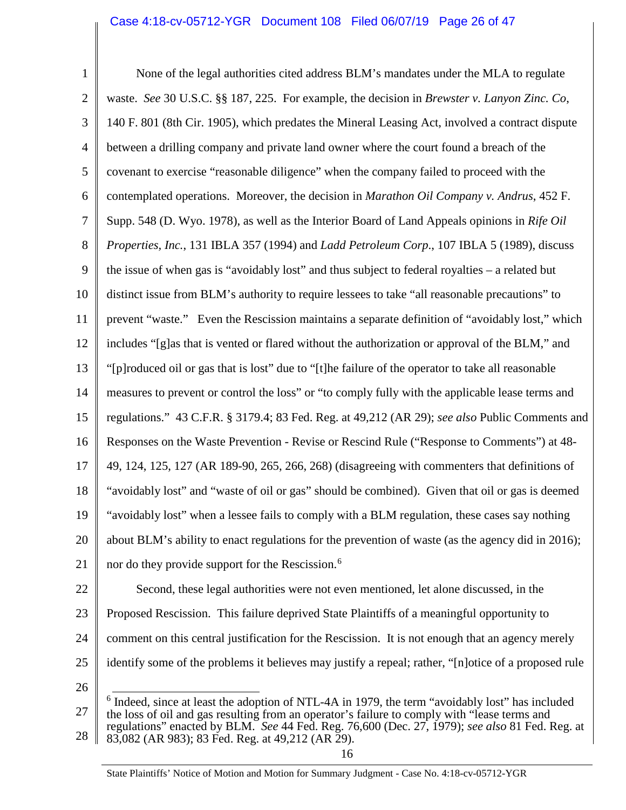1 2 3 4 5 6 7 8 9 10 11 12 13 14 15 16 17 18 19 20 21 22 23 24 25 None of the legal authorities cited address BLM's mandates under the MLA to regulate waste. *See* 30 U.S.C. §§ 187, 225. For example, the decision in *Brewster v. Lanyon Zinc. Co*, 140 F. 801 (8th Cir. 1905), which predates the Mineral Leasing Act, involved a contract dispute between a drilling company and private land owner where the court found a breach of the covenant to exercise "reasonable diligence" when the company failed to proceed with the contemplated operations. Moreover, the decision in *Marathon Oil Company v. Andrus*, 452 F. Supp. 548 (D. Wyo. 1978), as well as the Interior Board of Land Appeals opinions in *Rife Oil Properties, Inc.*, 131 IBLA 357 (1994) and *Ladd Petroleum Corp*., 107 IBLA 5 (1989), discuss the issue of when gas is "avoidably lost" and thus subject to federal royalties – a related but distinct issue from BLM's authority to require lessees to take "all reasonable precautions" to prevent "waste." Even the Rescission maintains a separate definition of "avoidably lost," which includes "[g]as that is vented or flared without the authorization or approval of the BLM," and "[p]roduced oil or gas that is lost" due to "[t]he failure of the operator to take all reasonable measures to prevent or control the loss" or "to comply fully with the applicable lease terms and regulations." 43 C.F.R. § 3179.4; 83 Fed. Reg. at 49,212 (AR 29); *see also* Public Comments and Responses on the Waste Prevention - Revise or Rescind Rule ("Response to Comments") at 48- 49, 124, 125, 127 (AR 189-90, 265, 266, 268) (disagreeing with commenters that definitions of "avoidably lost" and "waste of oil or gas" should be combined). Given that oil or gas is deemed "avoidably lost" when a lessee fails to comply with a BLM regulation, these cases say nothing about BLM's ability to enact regulations for the prevention of waste (as the agency did in 2016); nor do they provide support for the Rescission.<sup>[6](#page-25-0)</sup> Second, these legal authorities were not even mentioned, let alone discussed, in the Proposed Rescission. This failure deprived State Plaintiffs of a meaningful opportunity to comment on this central justification for the Rescission. It is not enough that an agency merely identify some of the problems it believes may justify a repeal; rather, "[n]otice of a proposed rule

26

<span id="page-25-0"></span>27 28  $6$  Indeed, since at least the adoption of NTL-4A in 1979, the term "avoidably lost" has included the loss of oil and gas resulting from an operator's failure to comply with "lease terms and regulations" enacted by BLM. *See* 44 Fed. Reg. 76,600 (Dec. 27, 1979); *see also* 81 Fed. Reg. at 83,082 (AR 983); 83 Fed. Reg. at 49,212 (AR 29).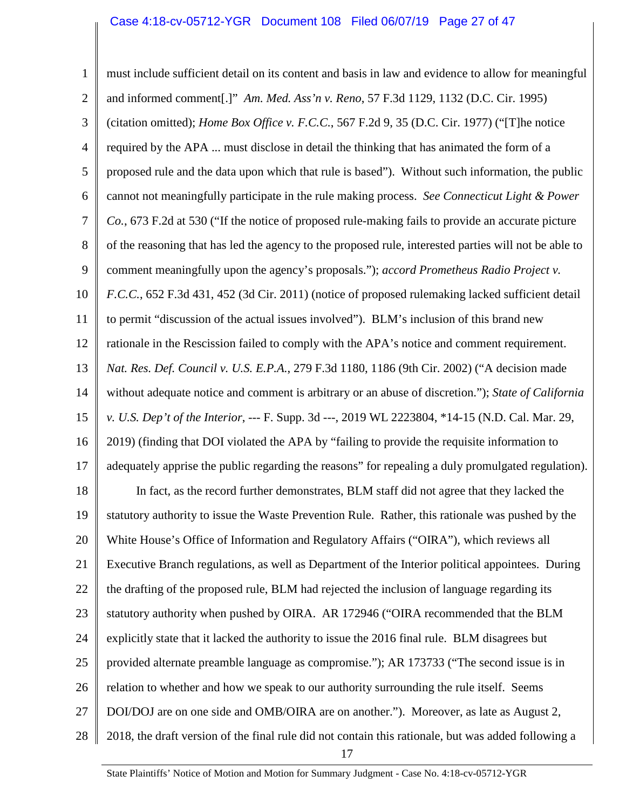1 2 3 4 5 6 7 8 9 10 11 12 13 14 15 16 17 18 19 20 21 22 23 24 25 26 27 28 must include sufficient detail on its content and basis in law and evidence to allow for meaningful and informed comment[.]" *Am. Med. Ass'n v. Reno*, 57 F.3d 1129, 1132 (D.C. Cir. 1995) (citation omitted); *Home Box Office v. F.C.C.*, 567 F.2d 9, 35 (D.C. Cir. 1977) ("[T]he notice required by the APA ... must disclose in detail the thinking that has animated the form of a proposed rule and the data upon which that rule is based"). Without such information, the public cannot not meaningfully participate in the rule making process. *See Connecticut Light & Power Co.*, 673 F.2d at 530 ("If the notice of proposed rule-making fails to provide an accurate picture of the reasoning that has led the agency to the proposed rule, interested parties will not be able to comment meaningfully upon the agency's proposals."); *accord Prometheus Radio Project v. F.C.C.*, 652 F.3d 431, 452 (3d Cir. 2011) (notice of proposed rulemaking lacked sufficient detail to permit "discussion of the actual issues involved"). BLM's inclusion of this brand new rationale in the Rescission failed to comply with the APA's notice and comment requirement. *Nat. Res. Def. Council v. U.S. E.P.A.*, 279 F.3d 1180, 1186 (9th Cir. 2002) ("A decision made without adequate notice and comment is arbitrary or an abuse of discretion."); *State of California v. U.S. Dep't of the Interior*, --- F. Supp. 3d ---, 2019 WL 2223804, \*14-15 (N.D. Cal. Mar. 29, 2019) (finding that DOI violated the APA by "failing to provide the requisite information to adequately apprise the public regarding the reasons" for repealing a duly promulgated regulation). In fact, as the record further demonstrates, BLM staff did not agree that they lacked the statutory authority to issue the Waste Prevention Rule. Rather, this rationale was pushed by the White House's Office of Information and Regulatory Affairs ("OIRA"), which reviews all Executive Branch regulations, as well as Department of the Interior political appointees. During the drafting of the proposed rule, BLM had rejected the inclusion of language regarding its statutory authority when pushed by OIRA. AR 172946 ("OIRA recommended that the BLM explicitly state that it lacked the authority to issue the 2016 final rule. BLM disagrees but provided alternate preamble language as compromise."); AR 173733 ("The second issue is in relation to whether and how we speak to our authority surrounding the rule itself. Seems DOI/DOJ are on one side and OMB/OIRA are on another."). Moreover, as late as August 2, 2018, the draft version of the final rule did not contain this rationale, but was added following a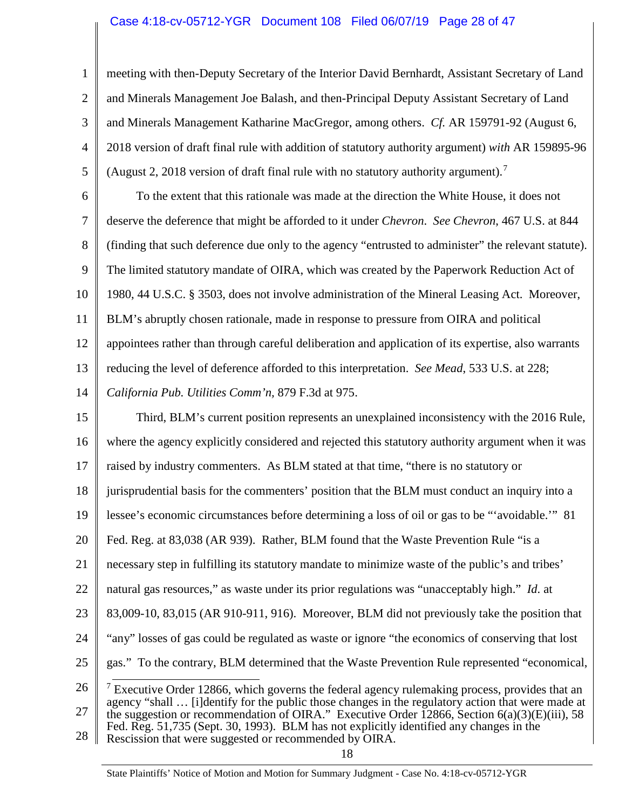# Case 4:18-cv-05712-YGR Document 108 Filed 06/07/19 Page 28 of 47

1 2 3 4 5 meeting with then-Deputy Secretary of the Interior David Bernhardt, Assistant Secretary of Land and Minerals Management Joe Balash, and then-Principal Deputy Assistant Secretary of Land and Minerals Management Katharine MacGregor, among others. *Cf.* AR 159791-92 (August 6, 2018 version of draft final rule with addition of statutory authority argument) *with* AR 159895-96 (August 2, 2018 version of draft final rule with no statutory authority argument).<sup>[7](#page-27-0)</sup>

6 7 8 9 10 11 12 13 14 To the extent that this rationale was made at the direction the White House, it does not deserve the deference that might be afforded to it under *Chevron*. *See Chevron*, 467 U.S. at 844 (finding that such deference due only to the agency "entrusted to administer" the relevant statute). The limited statutory mandate of OIRA, which was created by the Paperwork Reduction Act of 1980, 44 U.S.C. § 3503, does not involve administration of the Mineral Leasing Act. Moreover, BLM's abruptly chosen rationale, made in response to pressure from OIRA and political appointees rather than through careful deliberation and application of its expertise, also warrants reducing the level of deference afforded to this interpretation. *See Mead*, 533 U.S. at 228; *California Pub. Utilities Comm'n,* 879 F.3d at 975.

<span id="page-27-0"></span>15 16 17 18 19 20 21 22 23 24 25 26 27 28 Third, BLM's current position represents an unexplained inconsistency with the 2016 Rule, where the agency explicitly considered and rejected this statutory authority argument when it was raised by industry commenters. As BLM stated at that time, "there is no statutory or jurisprudential basis for the commenters' position that the BLM must conduct an inquiry into a lessee's economic circumstances before determining a loss of oil or gas to be "'avoidable.'" 81 Fed. Reg. at 83,038 (AR 939). Rather, BLM found that the Waste Prevention Rule "is a necessary step in fulfilling its statutory mandate to minimize waste of the public's and tribes' natural gas resources," as waste under its prior regulations was "unacceptably high." *Id*. at 83,009-10, 83,015 (AR 910-911, 916). Moreover, BLM did not previously take the position that "any" losses of gas could be regulated as waste or ignore "the economics of conserving that lost gas." To the contrary, BLM determined that the Waste Prevention Rule represented "economical, <sup>7</sup> Executive Order 12866, which governs the federal agency rulemaking process, provides that an agency "shall … [i]dentify for the public those changes in the regulatory action that were made at the suggestion or recommendation of OIRA." Executive Order 12866, Section 6(a)(3)(E)(iii), 58 Fed. Reg. 51,735 (Sept. 30, 1993). BLM has not explicitly identified any changes in the Rescission that were suggested or recommended by OIRA.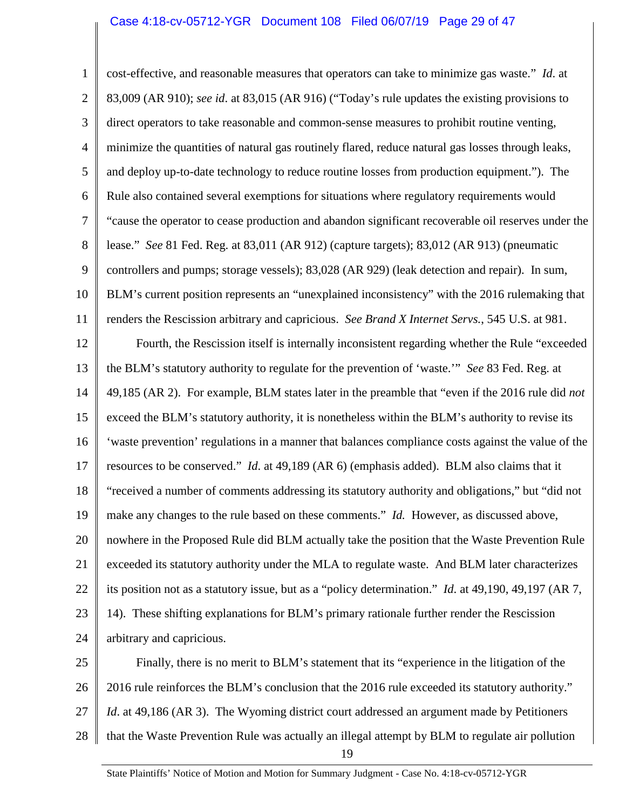1 2 3 4 5 6 7 8 9 10 11 12 13 14 15 16 17 18 19 20 21 22 23 24 25 26 27 28 cost-effective, and reasonable measures that operators can take to minimize gas waste." *Id*. at 83,009 (AR 910); *see id*. at 83,015 (AR 916) ("Today's rule updates the existing provisions to direct operators to take reasonable and common-sense measures to prohibit routine venting, minimize the quantities of natural gas routinely flared, reduce natural gas losses through leaks, and deploy up-to-date technology to reduce routine losses from production equipment."). The Rule also contained several exemptions for situations where regulatory requirements would "cause the operator to cease production and abandon significant recoverable oil reserves under the lease." *See* 81 Fed. Reg. at 83,011 (AR 912) (capture targets); 83,012 (AR 913) (pneumatic controllers and pumps; storage vessels); 83,028 (AR 929) (leak detection and repair). In sum, BLM's current position represents an "unexplained inconsistency" with the 2016 rulemaking that renders the Rescission arbitrary and capricious. *See Brand X Internet Servs.*, 545 U.S. at 981. Fourth, the Rescission itself is internally inconsistent regarding whether the Rule "exceeded the BLM's statutory authority to regulate for the prevention of 'waste.'" *See* 83 Fed. Reg. at 49,185 (AR 2). For example, BLM states later in the preamble that "even if the 2016 rule did *not*  exceed the BLM's statutory authority, it is nonetheless within the BLM's authority to revise its 'waste prevention' regulations in a manner that balances compliance costs against the value of the resources to be conserved." *Id*. at 49,189 (AR 6) (emphasis added). BLM also claims that it "received a number of comments addressing its statutory authority and obligations," but "did not make any changes to the rule based on these comments." *Id.* However, as discussed above, nowhere in the Proposed Rule did BLM actually take the position that the Waste Prevention Rule exceeded its statutory authority under the MLA to regulate waste. And BLM later characterizes its position not as a statutory issue, but as a "policy determination." *Id*. at 49,190, 49,197 (AR 7, 14). These shifting explanations for BLM's primary rationale further render the Rescission arbitrary and capricious. Finally, there is no merit to BLM's statement that its "experience in the litigation of the 2016 rule reinforces the BLM's conclusion that the 2016 rule exceeded its statutory authority." *Id.* at 49,186 (AR 3). The Wyoming district court addressed an argument made by Petitioners that the Waste Prevention Rule was actually an illegal attempt by BLM to regulate air pollution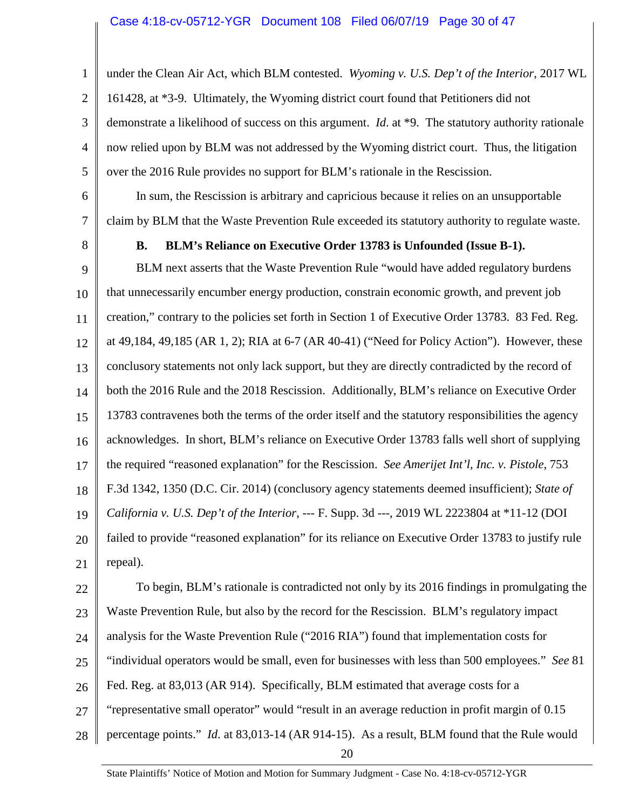1 2 3 4 5 under the Clean Air Act, which BLM contested. *Wyoming v. U.S. Dep't of the Interior*, 2017 WL 161428, at \*3-9. Ultimately, the Wyoming district court found that Petitioners did not demonstrate a likelihood of success on this argument. *Id*. at \*9. The statutory authority rationale now relied upon by BLM was not addressed by the Wyoming district court. Thus, the litigation over the 2016 Rule provides no support for BLM's rationale in the Rescission.

In sum, the Rescission is arbitrary and capricious because it relies on an unsupportable claim by BLM that the Waste Prevention Rule exceeded its statutory authority to regulate waste.

<span id="page-29-0"></span>8

6

7

#### **B. BLM's Reliance on Executive Order 13783 is Unfounded (Issue B-1).**

9 10 11 12 13 14 15 16 17 18 19 20 21 BLM next asserts that the Waste Prevention Rule "would have added regulatory burdens that unnecessarily encumber energy production, constrain economic growth, and prevent job creation," contrary to the policies set forth in Section 1 of Executive Order 13783. 83 Fed. Reg. at 49,184, 49,185 (AR 1, 2); RIA at 6-7 (AR 40-41) ("Need for Policy Action"). However, these conclusory statements not only lack support, but they are directly contradicted by the record of both the 2016 Rule and the 2018 Rescission. Additionally, BLM's reliance on Executive Order 13783 contravenes both the terms of the order itself and the statutory responsibilities the agency acknowledges. In short, BLM's reliance on Executive Order 13783 falls well short of supplying the required "reasoned explanation" for the Rescission. *See Amerijet Int'l, Inc. v. Pistole*, 753 F.3d 1342, 1350 (D.C. Cir. 2014) (conclusory agency statements deemed insufficient); *State of California v. U.S. Dep't of the Interior*, --- F. Supp. 3d ---, 2019 WL 2223804 at \*11-12 (DOI failed to provide "reasoned explanation" for its reliance on Executive Order 13783 to justify rule repeal).

22 23 24 25 26 27 28 20 To begin, BLM's rationale is contradicted not only by its 2016 findings in promulgating the Waste Prevention Rule, but also by the record for the Rescission. BLM's regulatory impact analysis for the Waste Prevention Rule ("2016 RIA") found that implementation costs for "individual operators would be small, even for businesses with less than 500 employees." *See* 81 Fed. Reg. at 83,013 (AR 914). Specifically, BLM estimated that average costs for a "representative small operator" would "result in an average reduction in profit margin of 0.15 percentage points." *Id*. at 83,013-14 (AR 914-15). As a result, BLM found that the Rule would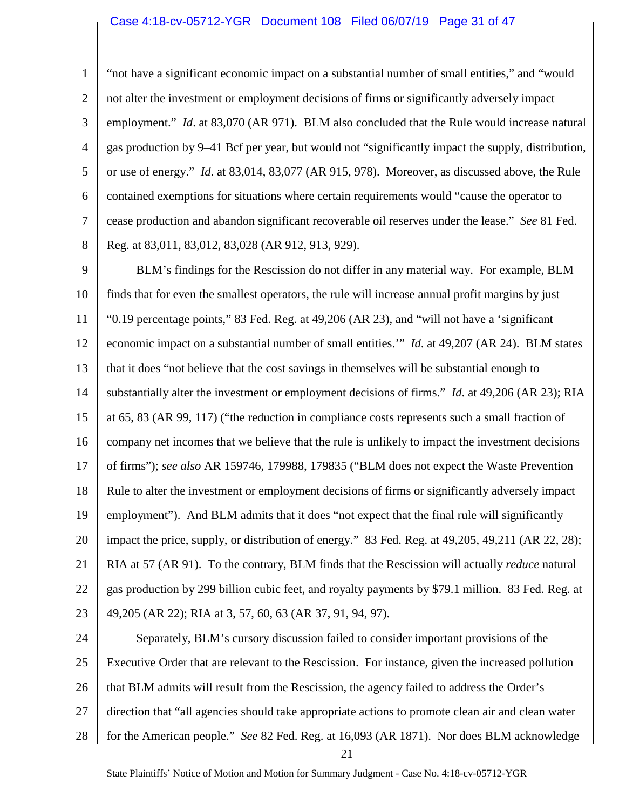### Case 4:18-cv-05712-YGR Document 108 Filed 06/07/19 Page 31 of 47

1 2 3 4 5 6 7 8 "not have a significant economic impact on a substantial number of small entities," and "would not alter the investment or employment decisions of firms or significantly adversely impact employment." *Id*. at 83,070 (AR 971). BLM also concluded that the Rule would increase natural gas production by 9–41 Bcf per year, but would not "significantly impact the supply, distribution, or use of energy." *Id*. at 83,014, 83,077 (AR 915, 978). Moreover, as discussed above, the Rule contained exemptions for situations where certain requirements would "cause the operator to cease production and abandon significant recoverable oil reserves under the lease." *See* 81 Fed. Reg. at 83,011, 83,012, 83,028 (AR 912, 913, 929).

9 10 11 12 13 14 15 16 17 18 19 20 21 22 23 24 25 BLM's findings for the Rescission do not differ in any material way. For example, BLM finds that for even the smallest operators, the rule will increase annual profit margins by just "0.19 percentage points," 83 Fed. Reg. at 49,206 (AR 23), and "will not have a 'significant economic impact on a substantial number of small entities.'" *Id*. at 49,207 (AR 24). BLM states that it does "not believe that the cost savings in themselves will be substantial enough to substantially alter the investment or employment decisions of firms." *Id*. at 49,206 (AR 23); RIA at 65, 83 (AR 99, 117) ("the reduction in compliance costs represents such a small fraction of company net incomes that we believe that the rule is unlikely to impact the investment decisions of firms"); *see also* AR 159746, 179988, 179835 ("BLM does not expect the Waste Prevention Rule to alter the investment or employment decisions of firms or significantly adversely impact employment"). And BLM admits that it does "not expect that the final rule will significantly impact the price, supply, or distribution of energy." 83 Fed. Reg. at 49,205, 49,211 (AR 22, 28); RIA at 57 (AR 91). To the contrary, BLM finds that the Rescission will actually *reduce* natural gas production by 299 billion cubic feet, and royalty payments by \$79.1 million. 83 Fed. Reg. at 49,205 (AR 22); RIA at 3, 57, 60, 63 (AR 37, 91, 94, 97). Separately, BLM's cursory discussion failed to consider important provisions of the Executive Order that are relevant to the Rescission. For instance, given the increased pollution

26 that BLM admits will result from the Rescission, the agency failed to address the Order's

27 direction that "all agencies should take appropriate actions to promote clean air and clean water

28 for the American people." *See* 82 Fed. Reg. at 16,093 (AR 1871). Nor does BLM acknowledge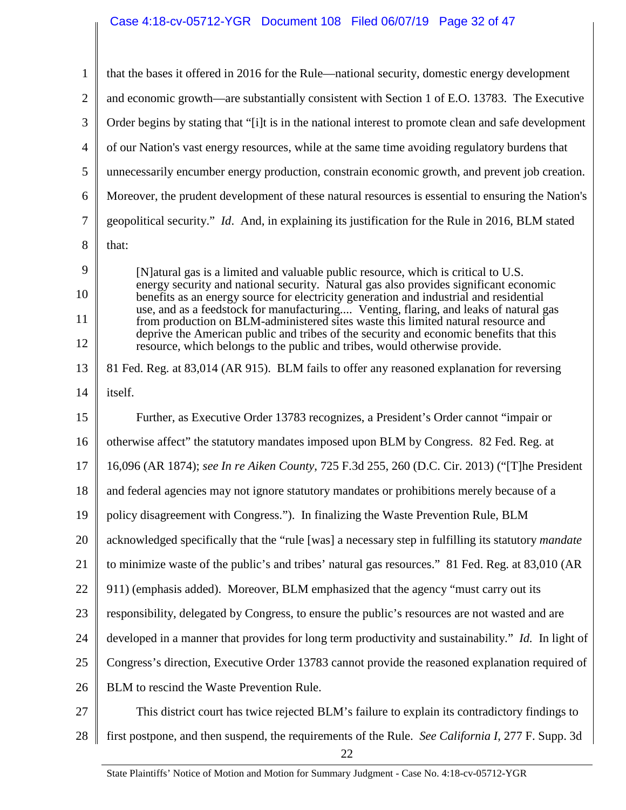# Case 4:18-cv-05712-YGR Document 108 Filed 06/07/19 Page 32 of 47

1 2 3 4 5 6 7 8 9 10 11 12 13 14 15 16 17 18 19 20 21 22 23 24 25 26 27 that the bases it offered in 2016 for the Rule—national security, domestic energy development and economic growth—are substantially consistent with Section 1 of E.O. 13783. The Executive Order begins by stating that "[i]t is in the national interest to promote clean and safe development of our Nation's vast energy resources, while at the same time avoiding regulatory burdens that unnecessarily encumber energy production, constrain economic growth, and prevent job creation. Moreover, the prudent development of these natural resources is essential to ensuring the Nation's geopolitical security." *Id*. And, in explaining its justification for the Rule in 2016, BLM stated that: [N]atural gas is a limited and valuable public resource, which is critical to U.S. energy security and national security. Natural gas also provides significant economic benefits as an energy source for electricity generation and industrial and residential use, and as a feedstock for manufacturing.... Venting, flaring, and leaks of natural gas from production on BLM-administered sites waste this limited natural resource and deprive the American public and tribes of the security and economic benefits that this resource, which belongs to the public and tribes, would otherwise provide. 81 Fed. Reg. at 83,014 (AR 915). BLM fails to offer any reasoned explanation for reversing itself. Further, as Executive Order 13783 recognizes, a President's Order cannot "impair or otherwise affect" the statutory mandates imposed upon BLM by Congress. 82 Fed. Reg. at 16,096 (AR 1874); *see In re Aiken County*, 725 F.3d 255, 260 (D.C. Cir. 2013) ("[T]he President and federal agencies may not ignore statutory mandates or prohibitions merely because of a policy disagreement with Congress."). In finalizing the Waste Prevention Rule, BLM acknowledged specifically that the "rule [was] a necessary step in fulfilling its statutory *mandate* to minimize waste of the public's and tribes' natural gas resources." 81 Fed. Reg. at 83,010 (AR 911) (emphasis added). Moreover, BLM emphasized that the agency "must carry out its responsibility, delegated by Congress, to ensure the public's resources are not wasted and are developed in a manner that provides for long term productivity and sustainability." *Id.* In light of Congress's direction, Executive Order 13783 cannot provide the reasoned explanation required of BLM to rescind the Waste Prevention Rule. This district court has twice rejected BLM's failure to explain its contradictory findings to

28 first postpone, and then suspend, the requirements of the Rule. *See California I*, 277 F. Supp. 3d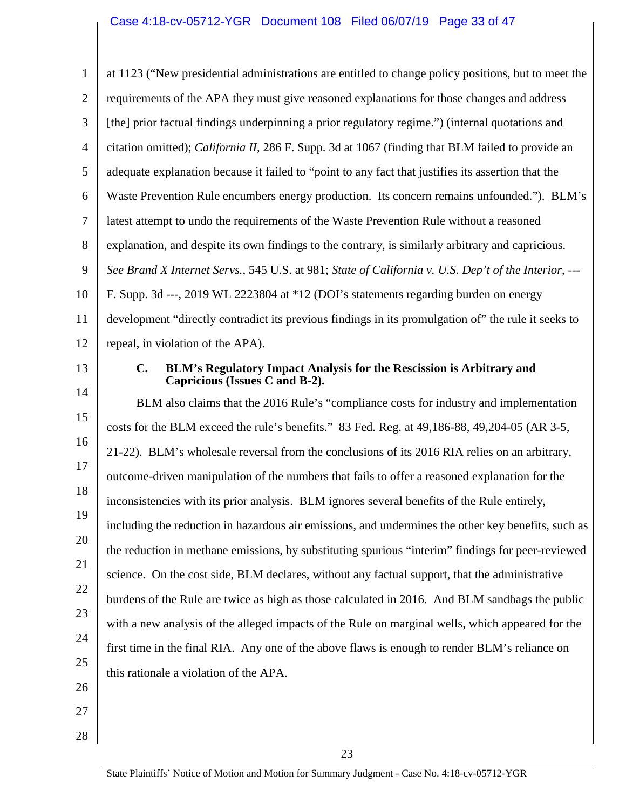<span id="page-32-0"></span>1 2 3 4 5 6 7 8 9 10 11 12 13 14 15 16 17 18 19 20 21 22 23 24 25 26 27 28 at 1123 ("New presidential administrations are entitled to change policy positions, but to meet the requirements of the APA they must give reasoned explanations for those changes and address [the] prior factual findings underpinning a prior regulatory regime.") (internal quotations and citation omitted); *California II*, 286 F. Supp. 3d at 1067 (finding that BLM failed to provide an adequate explanation because it failed to "point to any fact that justifies its assertion that the Waste Prevention Rule encumbers energy production. Its concern remains unfounded."). BLM's latest attempt to undo the requirements of the Waste Prevention Rule without a reasoned explanation, and despite its own findings to the contrary, is similarly arbitrary and capricious. *See Brand X Internet Servs.*, 545 U.S. at 981; *State of California v. U.S. Dep't of the Interior*, --- F. Supp. 3d ---, 2019 WL 2223804 at \*12 (DOI's statements regarding burden on energy development "directly contradict its previous findings in its promulgation of" the rule it seeks to repeal, in violation of the APA). **C. BLM's Regulatory Impact Analysis for the Rescission is Arbitrary and Capricious (Issues C and B-2).** BLM also claims that the 2016 Rule's "compliance costs for industry and implementation costs for the BLM exceed the rule's benefits." 83 Fed. Reg. at 49,186-88, 49,204-05 (AR 3-5, 21-22). BLM's wholesale reversal from the conclusions of its 2016 RIA relies on an arbitrary, outcome-driven manipulation of the numbers that fails to offer a reasoned explanation for the inconsistencies with its prior analysis. BLM ignores several benefits of the Rule entirely, including the reduction in hazardous air emissions, and undermines the other key benefits, such as the reduction in methane emissions, by substituting spurious "interim" findings for peer-reviewed science. On the cost side, BLM declares, without any factual support, that the administrative burdens of the Rule are twice as high as those calculated in 2016. And BLM sandbags the public with a new analysis of the alleged impacts of the Rule on marginal wells, which appeared for the first time in the final RIA. Any one of the above flaws is enough to render BLM's reliance on this rationale a violation of the APA.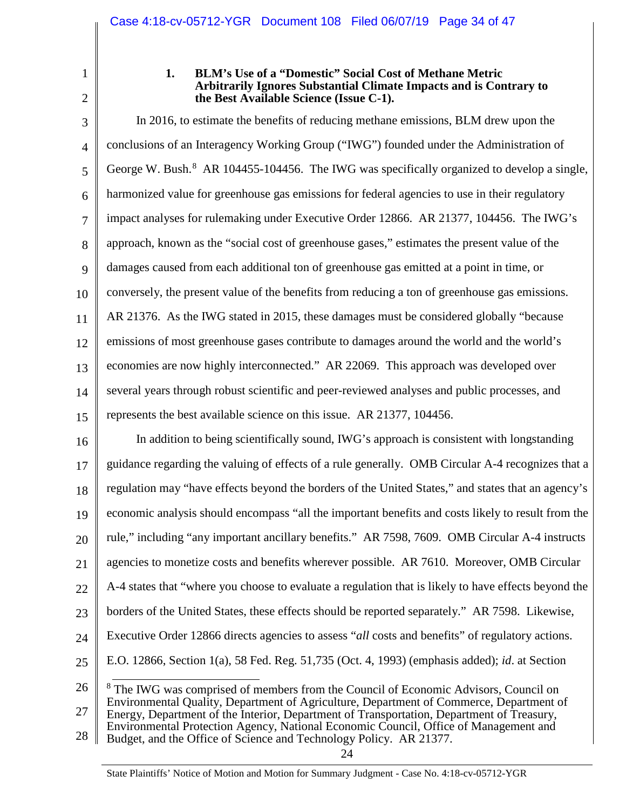2

<span id="page-33-0"></span>1

#### **1. BLM's Use of a "Domestic" Social Cost of Methane Metric Arbitrarily Ignores Substantial Climate Impacts and is Contrary to the Best Available Science (Issue C-1).**

3 4 5 6 7 8 9 10 11 12 13 14 15 In 2016, to estimate the benefits of reducing methane emissions, BLM drew upon the conclusions of an Interagency Working Group ("IWG") founded under the Administration of George W. Bush.<sup>[8](#page-33-1)</sup> AR 104455-104456. The IWG was specifically organized to develop a single, harmonized value for greenhouse gas emissions for federal agencies to use in their regulatory impact analyses for rulemaking under Executive Order 12866. AR 21377, 104456. The IWG's approach, known as the "social cost of greenhouse gases," estimates the present value of the damages caused from each additional ton of greenhouse gas emitted at a point in time, or conversely, the present value of the benefits from reducing a ton of greenhouse gas emissions. AR 21376. As the IWG stated in 2015, these damages must be considered globally "because emissions of most greenhouse gases contribute to damages around the world and the world's economies are now highly interconnected." AR 22069. This approach was developed over several years through robust scientific and peer-reviewed analyses and public processes, and represents the best available science on this issue. AR 21377, 104456.

16 17 18 19 20 21 22 23 24 25 26 In addition to being scientifically sound, IWG's approach is consistent with longstanding guidance regarding the valuing of effects of a rule generally. OMB Circular A-4 recognizes that a regulation may "have effects beyond the borders of the United States," and states that an agency's economic analysis should encompass "all the important benefits and costs likely to result from the rule," including "any important ancillary benefits." AR 7598, 7609. OMB Circular A-4 instructs agencies to monetize costs and benefits wherever possible. AR 7610. Moreover, OMB Circular A-4 states that "where you choose to evaluate a regulation that is likely to have effects beyond the borders of the United States, these effects should be reported separately." AR 7598. Likewise, Executive Order 12866 directs agencies to assess "*all* costs and benefits" of regulatory actions. E.O. 12866, Section 1(a), 58 Fed. Reg. 51,735 (Oct. 4, 1993) (emphasis added); *id*. at Section <sup>8</sup> The IWG was comprised of members from the Council of Economic Advisors, Council on Environmental Quality, Department of Agriculture, Department of Commerce, Department of

<span id="page-33-1"></span><sup>27</sup> Energy, Department of the Interior, Department of Transportation, Department of Treasury, Environmental Protection Agency, National Economic Council, Office of Management and

<sup>28</sup> Budget, and the Office of Science and Technology Policy. AR 21377.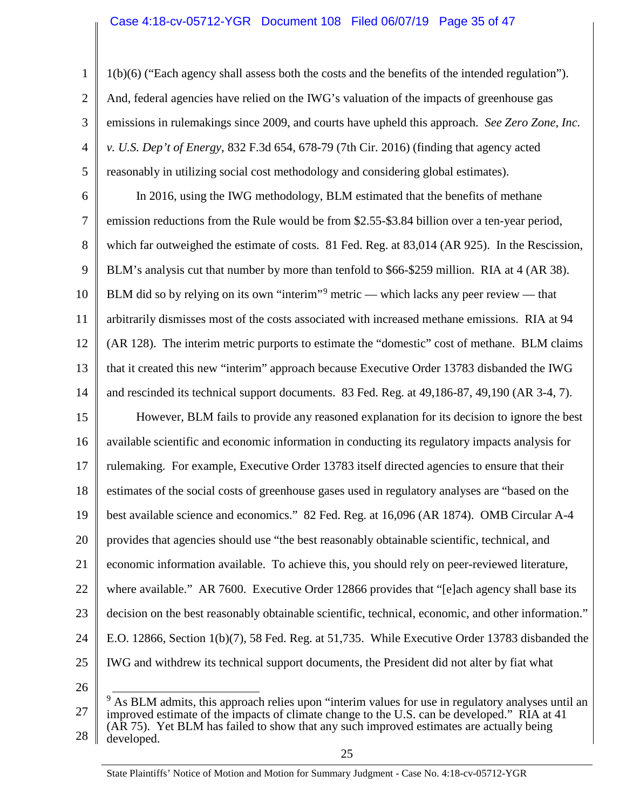## Case 4:18-cv-05712-YGR Document 108 Filed 06/07/19 Page 35 of 47

1

2

3

4

5

1(b)(6) ("Each agency shall assess both the costs and the benefits of the intended regulation"). And, federal agencies have relied on the IWG's valuation of the impacts of greenhouse gas emissions in rulemakings since 2009, and courts have upheld this approach. *See Zero Zone, Inc. v. U.S. Dep't of Energy*, 832 F.3d 654, 678-79 (7th Cir. 2016) (finding that agency acted reasonably in utilizing social cost methodology and considering global estimates).

6 7 8 9 10 11 12 13 14 In 2016, using the IWG methodology, BLM estimated that the benefits of methane emission reductions from the Rule would be from \$2.55-\$3.84 billion over a ten-year period, which far outweighed the estimate of costs. 81 Fed. Reg. at 83,014 (AR 925). In the Rescission, BLM's analysis cut that number by more than tenfold to \$66-\$259 million. RIA at 4 (AR 38). BLM did so by relying on its own "interim"<sup>[9](#page-34-0)</sup> metric — which lacks any peer review — that arbitrarily dismisses most of the costs associated with increased methane emissions. RIA at 94 (AR 128). The interim metric purports to estimate the "domestic" cost of methane. BLM claims that it created this new "interim" approach because Executive Order 13783 disbanded the IWG and rescinded its technical support documents. 83 Fed. Reg. at 49,186-87, 49,190 (AR 3-4, 7).

15 16 17 18 19 20 21 22 23 24 25 26 However, BLM fails to provide any reasoned explanation for its decision to ignore the best available scientific and economic information in conducting its regulatory impacts analysis for rulemaking. For example, Executive Order 13783 itself directed agencies to ensure that their estimates of the social costs of greenhouse gases used in regulatory analyses are "based on the best available science and economics." 82 Fed. Reg. at 16,096 (AR 1874). OMB Circular A-4 provides that agencies should use "the best reasonably obtainable scientific, technical, and economic information available. To achieve this, you should rely on peer-reviewed literature, where available." AR 7600. Executive Order 12866 provides that "[e]ach agency shall base its decision on the best reasonably obtainable scientific, technical, economic, and other information." E.O. 12866, Section 1(b)(7), 58 Fed. Reg. at 51,735. While Executive Order 13783 disbanded the IWG and withdrew its technical support documents, the President did not alter by fiat what

<span id="page-34-0"></span>27 28 <sup>9</sup> As BLM admits, this approach relies upon "interim values for use in regulatory analyses until an improved estimate of the impacts of climate change to the U.S. can be developed." RIA at 41 (AR 75). Yet BLM has failed to show that any such improved estimates are actually being developed.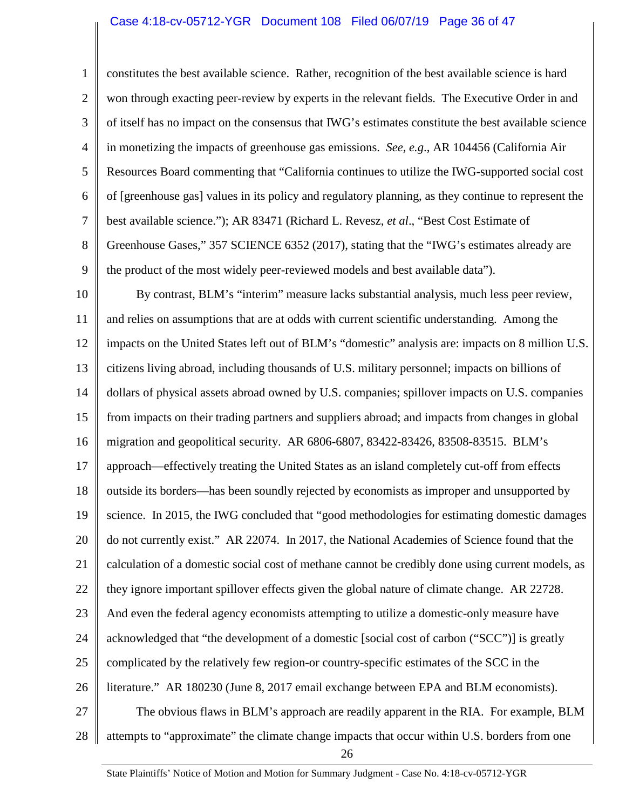#### Case 4:18-cv-05712-YGR Document 108 Filed 06/07/19 Page 36 of 47

1 2 3 4 5 6 7 8 9 10 11 12 13 14 15 16 17 18 19 20 21 22 23 24 25 26 27 28 constitutes the best available science. Rather, recognition of the best available science is hard won through exacting peer-review by experts in the relevant fields. The Executive Order in and of itself has no impact on the consensus that IWG's estimates constitute the best available science in monetizing the impacts of greenhouse gas emissions. *See, e.g*., AR 104456 (California Air Resources Board commenting that "California continues to utilize the IWG-supported social cost of [greenhouse gas] values in its policy and regulatory planning, as they continue to represent the best available science."); AR 83471 (Richard L. Revesz, *et al*., "Best Cost Estimate of Greenhouse Gases," 357 SCIENCE 6352 (2017), stating that the "IWG's estimates already are the product of the most widely peer-reviewed models and best available data"). By contrast, BLM's "interim" measure lacks substantial analysis, much less peer review, and relies on assumptions that are at odds with current scientific understanding. Among the impacts on the United States left out of BLM's "domestic" analysis are: impacts on 8 million U.S. citizens living abroad, including thousands of U.S. military personnel; impacts on billions of dollars of physical assets abroad owned by U.S. companies; spillover impacts on U.S. companies from impacts on their trading partners and suppliers abroad; and impacts from changes in global migration and geopolitical security. AR 6806-6807, 83422-83426, 83508-83515. BLM's approach—effectively treating the United States as an island completely cut-off from effects outside its borders—has been soundly rejected by economists as improper and unsupported by science. In 2015, the IWG concluded that "good methodologies for estimating domestic damages do not currently exist." AR 22074. In 2017, the National Academies of Science found that the calculation of a domestic social cost of methane cannot be credibly done using current models, as they ignore important spillover effects given the global nature of climate change. AR 22728. And even the federal agency economists attempting to utilize a domestic-only measure have acknowledged that "the development of a domestic [social cost of carbon ("SCC")] is greatly complicated by the relatively few region-or country-specific estimates of the SCC in the literature." AR 180230 (June 8, 2017 email exchange between EPA and BLM economists). The obvious flaws in BLM's approach are readily apparent in the RIA. For example, BLM attempts to "approximate" the climate change impacts that occur within U.S. borders from one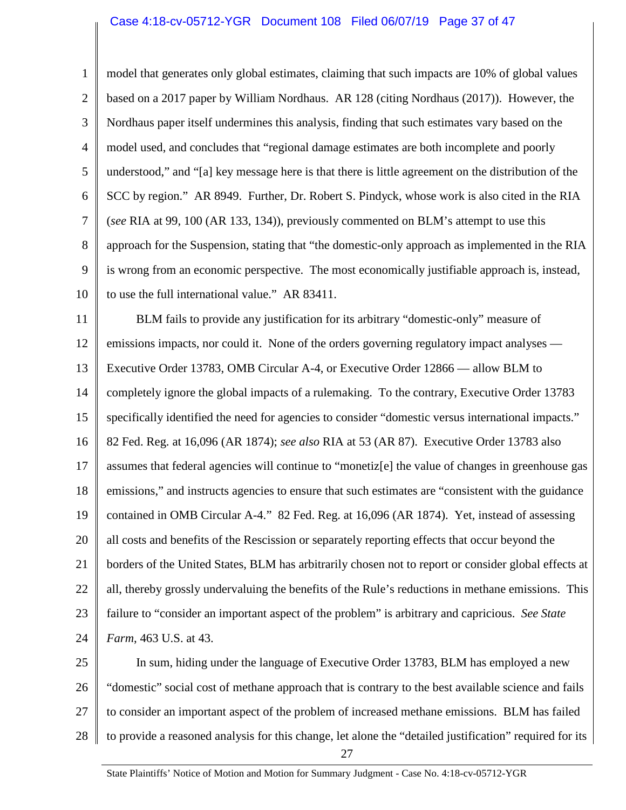#### Case 4:18-cv-05712-YGR Document 108 Filed 06/07/19 Page 37 of 47

1 2 3 4 5 6 7 8 9 10 model that generates only global estimates, claiming that such impacts are 10% of global values based on a 2017 paper by William Nordhaus. AR 128 (citing Nordhaus (2017)). However, the Nordhaus paper itself undermines this analysis, finding that such estimates vary based on the model used, and concludes that "regional damage estimates are both incomplete and poorly understood," and "[a] key message here is that there is little agreement on the distribution of the SCC by region." AR 8949. Further, Dr. Robert S. Pindyck, whose work is also cited in the RIA (*see* RIA at 99, 100 (AR 133, 134)), previously commented on BLM's attempt to use this approach for the Suspension, stating that "the domestic-only approach as implemented in the RIA is wrong from an economic perspective. The most economically justifiable approach is, instead, to use the full international value." AR 83411.

11 12 13 14 15 16 17 18 19 20 21 22 23 24 BLM fails to provide any justification for its arbitrary "domestic-only" measure of emissions impacts, nor could it. None of the orders governing regulatory impact analyses — Executive Order 13783, OMB Circular A-4, or Executive Order 12866 — allow BLM to completely ignore the global impacts of a rulemaking. To the contrary, Executive Order 13783 specifically identified the need for agencies to consider "domestic versus international impacts." 82 Fed. Reg. at 16,096 (AR 1874); *see also* RIA at 53 (AR 87). Executive Order 13783 also assumes that federal agencies will continue to "monetiz[e] the value of changes in greenhouse gas emissions," and instructs agencies to ensure that such estimates are "consistent with the guidance contained in OMB Circular A-4." 82 Fed. Reg. at 16,096 (AR 1874). Yet, instead of assessing all costs and benefits of the Rescission or separately reporting effects that occur beyond the borders of the United States, BLM has arbitrarily chosen not to report or consider global effects at all, thereby grossly undervaluing the benefits of the Rule's reductions in methane emissions. This failure to "consider an important aspect of the problem" is arbitrary and capricious. *See State Farm*, 463 U.S. at 43.

25 26 27 28 In sum, hiding under the language of Executive Order 13783, BLM has employed a new "domestic" social cost of methane approach that is contrary to the best available science and fails to consider an important aspect of the problem of increased methane emissions. BLM has failed to provide a reasoned analysis for this change, let alone the "detailed justification" required for its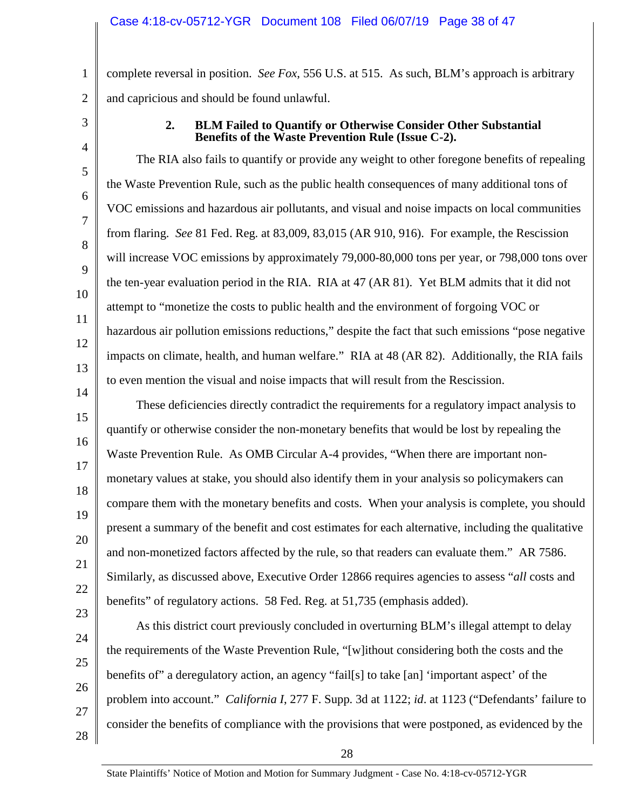complete reversal in position. *See Fox*, 556 U.S. at 515. As such, BLM's approach is arbitrary and capricious and should be found unlawful.

<span id="page-37-0"></span>3

4

5

6

7

8

9

10

11

12

13

14

23

1

2

### **2. BLM Failed to Quantify or Otherwise Consider Other Substantial Benefits of the Waste Prevention Rule (Issue C-2).**

The RIA also fails to quantify or provide any weight to other foregone benefits of repealing the Waste Prevention Rule, such as the public health consequences of many additional tons of VOC emissions and hazardous air pollutants, and visual and noise impacts on local communities from flaring. *See* 81 Fed. Reg. at 83,009, 83,015 (AR 910, 916). For example, the Rescission will increase VOC emissions by approximately 79,000-80,000 tons per year, or 798,000 tons over the ten-year evaluation period in the RIA. RIA at 47 (AR 81). Yet BLM admits that it did not attempt to "monetize the costs to public health and the environment of forgoing VOC or hazardous air pollution emissions reductions," despite the fact that such emissions "pose negative impacts on climate, health, and human welfare." RIA at 48 (AR 82). Additionally, the RIA fails to even mention the visual and noise impacts that will result from the Rescission.

15 16 17 18 19 20 21 22 These deficiencies directly contradict the requirements for a regulatory impact analysis to quantify or otherwise consider the non-monetary benefits that would be lost by repealing the Waste Prevention Rule. As OMB Circular A-4 provides, "When there are important nonmonetary values at stake, you should also identify them in your analysis so policymakers can compare them with the monetary benefits and costs. When your analysis is complete, you should present a summary of the benefit and cost estimates for each alternative, including the qualitative and non-monetized factors affected by the rule, so that readers can evaluate them." AR 7586. Similarly, as discussed above, Executive Order 12866 requires agencies to assess "*all* costs and benefits" of regulatory actions. 58 Fed. Reg. at 51,735 (emphasis added).

24 25 26 27 28 As this district court previously concluded in overturning BLM's illegal attempt to delay the requirements of the Waste Prevention Rule, "[w]ithout considering both the costs and the benefits of" a deregulatory action, an agency "fail[s] to take [an] 'important aspect' of the problem into account." *California I*, 277 F. Supp. 3d at 1122; *id*. at 1123 ("Defendants' failure to consider the benefits of compliance with the provisions that were postponed, as evidenced by the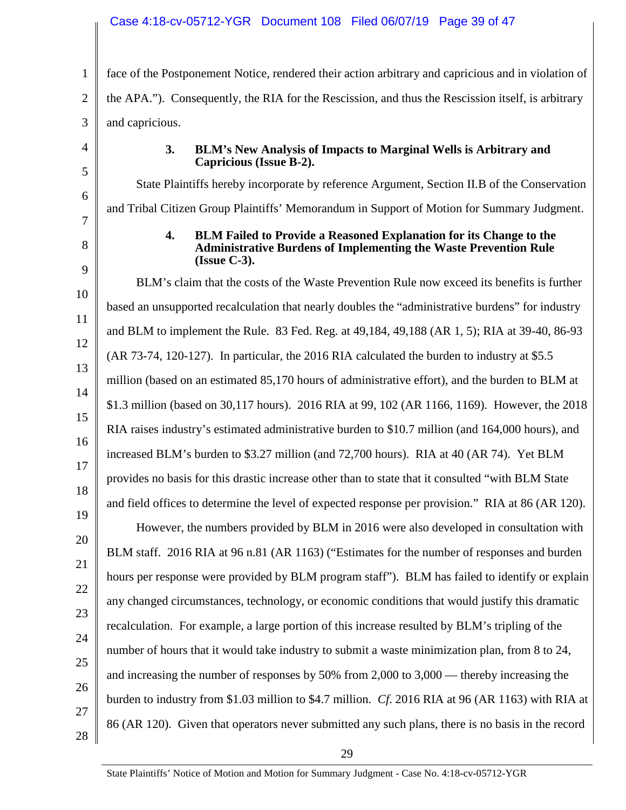# Case 4:18-cv-05712-YGR Document 108 Filed 06/07/19 Page 39 of 47

**(Issue C-3).**

<span id="page-38-0"></span>4

5

6

<span id="page-38-1"></span>7

8

1 2 3 face of the Postponement Notice, rendered their action arbitrary and capricious and in violation of the APA."). Consequently, the RIA for the Rescission, and thus the Rescission itself, is arbitrary and capricious.

### **3. BLM's New Analysis of Impacts to Marginal Wells is Arbitrary and Capricious (Issue B-2).**

State Plaintiffs hereby incorporate by reference Argument, Section II.B of the Conservation and Tribal Citizen Group Plaintiffs' Memorandum in Support of Motion for Summary Judgment. **4. BLM Failed to Provide a Reasoned Explanation for its Change to the Administrative Burdens of Implementing the Waste Prevention Rule**

9 10 11 12 13 14 15 16 17 18 19 20 21 22 23 24 25 26 27 28 BLM's claim that the costs of the Waste Prevention Rule now exceed its benefits is further based an unsupported recalculation that nearly doubles the "administrative burdens" for industry and BLM to implement the Rule. 83 Fed. Reg. at 49,184, 49,188 (AR 1, 5); RIA at 39-40, 86-93 (AR 73-74, 120-127). In particular, the 2016 RIA calculated the burden to industry at \$5.5 million (based on an estimated 85,170 hours of administrative effort), and the burden to BLM at \$1.3 million (based on 30,117 hours). 2016 RIA at 99, 102 (AR 1166, 1169). However, the 2018 RIA raises industry's estimated administrative burden to \$10.7 million (and 164,000 hours), and increased BLM's burden to \$3.27 million (and 72,700 hours). RIA at 40 (AR 74). Yet BLM provides no basis for this drastic increase other than to state that it consulted "with BLM State and field offices to determine the level of expected response per provision." RIA at 86 (AR 120). However, the numbers provided by BLM in 2016 were also developed in consultation with BLM staff. 2016 RIA at 96 n.81 (AR 1163) ("Estimates for the number of responses and burden hours per response were provided by BLM program staff"). BLM has failed to identify or explain any changed circumstances, technology, or economic conditions that would justify this dramatic recalculation. For example, a large portion of this increase resulted by BLM's tripling of the number of hours that it would take industry to submit a waste minimization plan, from 8 to 24, and increasing the number of responses by 50% from 2,000 to 3,000 — thereby increasing the burden to industry from \$1.03 million to \$4.7 million. *Cf*. 2016 RIA at 96 (AR 1163) with RIA at 86 (AR 120). Given that operators never submitted any such plans, there is no basis in the record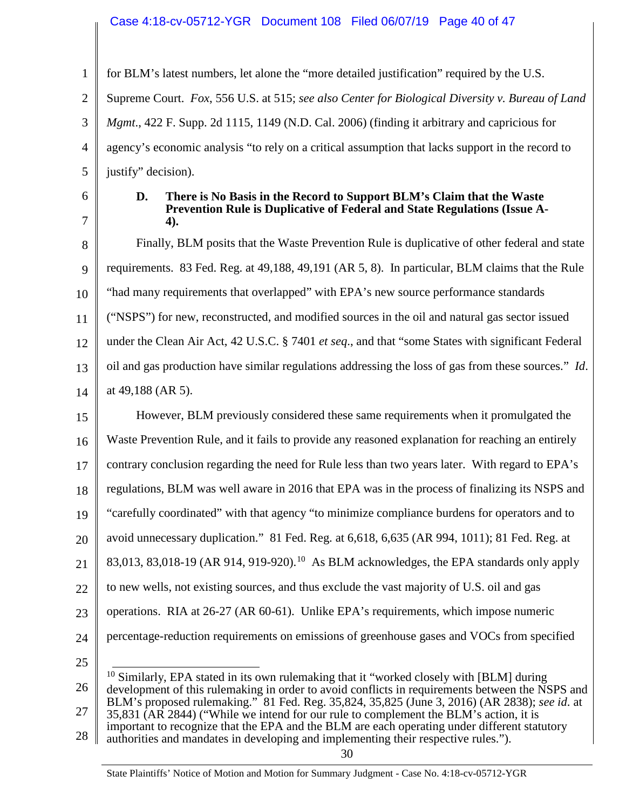# Case 4:18-cv-05712-YGR Document 108 Filed 06/07/19 Page 40 of 47

1 2 3 4 5 for BLM's latest numbers, let alone the "more detailed justification" required by the U.S. Supreme Court. *Fox*, 556 U.S. at 515; *see also Center for Biological Diversity v. Bureau of Land Mgmt*., 422 F. Supp. 2d 1115, 1149 (N.D. Cal. 2006) (finding it arbitrary and capricious for agency's economic analysis "to rely on a critical assumption that lacks support in the record to justify" decision).

<span id="page-39-0"></span>6 7

# **D. There is No Basis in the Record to Support BLM's Claim that the Waste Prevention Rule is Duplicative of Federal and State Regulations (Issue A- 4).**

8 9 10 11 12 13 14 Finally, BLM posits that the Waste Prevention Rule is duplicative of other federal and state requirements. 83 Fed. Reg. at 49,188, 49,191 (AR 5, 8). In particular, BLM claims that the Rule "had many requirements that overlapped" with EPA's new source performance standards ("NSPS") for new, reconstructed, and modified sources in the oil and natural gas sector issued under the Clean Air Act, 42 U.S.C. § 7401 *et seq*., and that "some States with significant Federal oil and gas production have similar regulations addressing the loss of gas from these sources." *Id*. at 49,188 (AR 5).

15 16 17 18 19 20 21 22 23 24 However, BLM previously considered these same requirements when it promulgated the Waste Prevention Rule, and it fails to provide any reasoned explanation for reaching an entirely contrary conclusion regarding the need for Rule less than two years later. With regard to EPA's regulations, BLM was well aware in 2016 that EPA was in the process of finalizing its NSPS and "carefully coordinated" with that agency "to minimize compliance burdens for operators and to avoid unnecessary duplication." 81 Fed. Reg. at 6,618, 6,635 (AR 994, 1011); 81 Fed. Reg. at 83,013, 83,018-19 (AR 914, 919-920).<sup>10</sup> As BLM acknowledges, the EPA standards only apply to new wells, not existing sources, and thus exclude the vast majority of U.S. oil and gas operations. RIA at 26-27 (AR 60-61). Unlike EPA's requirements, which impose numeric percentage-reduction requirements on emissions of greenhouse gases and VOCs from specified

25

<span id="page-39-1"></span>26 27  $10$  Similarly, EPA stated in its own rulemaking that it "worked closely with [BLM] during development of this rulemaking in order to avoid conflicts in requirements between the NSPS and BLM's proposed rulemaking." 81 Fed. Reg. 35,824, 35,825 (June 3, 2016) (AR 2838); *see id*. at 35,831 (AR 2844) ("While we intend for our rule to complement the BLM's action, it is important to recognize that the EPA and the BLM are each operating under different statutory

28 authorities and mandates in developing and implementing their respective rules.").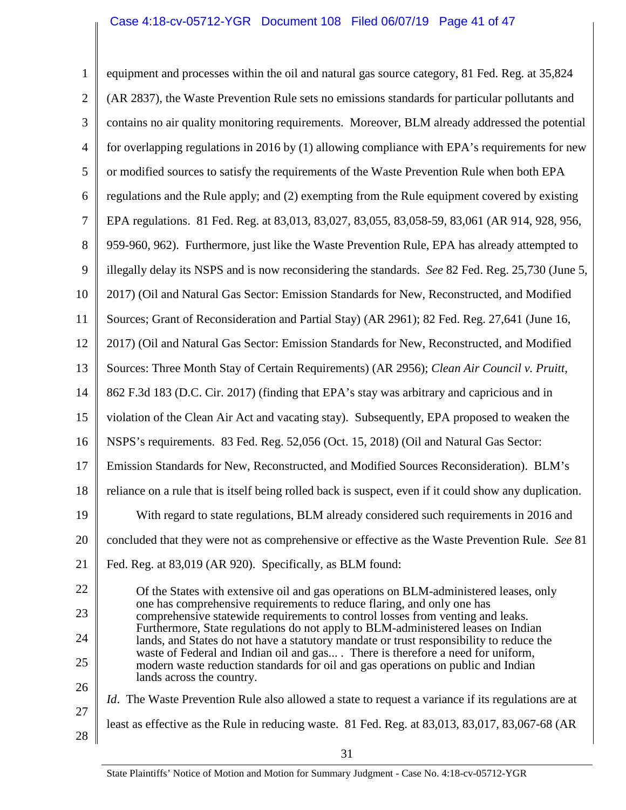| $\mathbf{1}$   | equipment and processes within the oil and natural gas source category, 81 Fed. Reg. at 35,824                                                                                                                                                                                                                                                                                                                                  |  |  |  |  |  |
|----------------|---------------------------------------------------------------------------------------------------------------------------------------------------------------------------------------------------------------------------------------------------------------------------------------------------------------------------------------------------------------------------------------------------------------------------------|--|--|--|--|--|
| $\mathfrak{2}$ | (AR 2837), the Waste Prevention Rule sets no emissions standards for particular pollutants and                                                                                                                                                                                                                                                                                                                                  |  |  |  |  |  |
| 3              | contains no air quality monitoring requirements. Moreover, BLM already addressed the potential                                                                                                                                                                                                                                                                                                                                  |  |  |  |  |  |
| $\overline{4}$ | for overlapping regulations in 2016 by (1) allowing compliance with EPA's requirements for new                                                                                                                                                                                                                                                                                                                                  |  |  |  |  |  |
| 5              | or modified sources to satisfy the requirements of the Waste Prevention Rule when both EPA                                                                                                                                                                                                                                                                                                                                      |  |  |  |  |  |
| 6              | regulations and the Rule apply; and (2) exempting from the Rule equipment covered by existing                                                                                                                                                                                                                                                                                                                                   |  |  |  |  |  |
| $\overline{7}$ | EPA regulations. 81 Fed. Reg. at 83,013, 83,027, 83,055, 83,058-59, 83,061 (AR 914, 928, 956,                                                                                                                                                                                                                                                                                                                                   |  |  |  |  |  |
| 8              | 959-960, 962). Furthermore, just like the Waste Prevention Rule, EPA has already attempted to                                                                                                                                                                                                                                                                                                                                   |  |  |  |  |  |
| 9              | illegally delay its NSPS and is now reconsidering the standards. See 82 Fed. Reg. 25,730 (June 5,                                                                                                                                                                                                                                                                                                                               |  |  |  |  |  |
| 10             | 2017) (Oil and Natural Gas Sector: Emission Standards for New, Reconstructed, and Modified                                                                                                                                                                                                                                                                                                                                      |  |  |  |  |  |
| 11             | Sources; Grant of Reconsideration and Partial Stay) (AR 2961); 82 Fed. Reg. 27,641 (June 16,                                                                                                                                                                                                                                                                                                                                    |  |  |  |  |  |
| 12             | 2017) (Oil and Natural Gas Sector: Emission Standards for New, Reconstructed, and Modified                                                                                                                                                                                                                                                                                                                                      |  |  |  |  |  |
| 13             | Sources: Three Month Stay of Certain Requirements) (AR 2956); Clean Air Council v. Pruitt,                                                                                                                                                                                                                                                                                                                                      |  |  |  |  |  |
| 14             | 862 F.3d 183 (D.C. Cir. 2017) (finding that EPA's stay was arbitrary and capricious and in                                                                                                                                                                                                                                                                                                                                      |  |  |  |  |  |
| 15             | violation of the Clean Air Act and vacating stay). Subsequently, EPA proposed to weaken the                                                                                                                                                                                                                                                                                                                                     |  |  |  |  |  |
| 16             | NSPS's requirements. 83 Fed. Reg. 52,056 (Oct. 15, 2018) (Oil and Natural Gas Sector:                                                                                                                                                                                                                                                                                                                                           |  |  |  |  |  |
| 17             | Emission Standards for New, Reconstructed, and Modified Sources Reconsideration). BLM's                                                                                                                                                                                                                                                                                                                                         |  |  |  |  |  |
| 18             | reliance on a rule that is itself being rolled back is suspect, even if it could show any duplication.                                                                                                                                                                                                                                                                                                                          |  |  |  |  |  |
| 19             | With regard to state regulations, BLM already considered such requirements in 2016 and                                                                                                                                                                                                                                                                                                                                          |  |  |  |  |  |
| 20             | concluded that they were not as comprehensive or effective as the Waste Prevention Rule. See 81                                                                                                                                                                                                                                                                                                                                 |  |  |  |  |  |
| 21             | Fed. Reg. at 83,019 (AR 920). Specifically, as BLM found:                                                                                                                                                                                                                                                                                                                                                                       |  |  |  |  |  |
| 22             | Of the States with extensive oil and gas operations on BLM-administered leases, only<br>one has comprehensive requirements to reduce flaring, and only one has<br>comprehensive statewide requirements to control losses from venting and leaks.<br>Furthermore, State regulations do not apply to BLM-administered leases on Indian<br>lands, and States do not have a statutory mandate or trust responsibility to reduce the |  |  |  |  |  |
| 23             |                                                                                                                                                                                                                                                                                                                                                                                                                                 |  |  |  |  |  |
| 24             |                                                                                                                                                                                                                                                                                                                                                                                                                                 |  |  |  |  |  |
| 25             | waste of Federal and Indian oil and gas There is therefore a need for uniform,<br>modern waste reduction standards for oil and gas operations on public and Indian                                                                                                                                                                                                                                                              |  |  |  |  |  |
| 26             | lands across the country.                                                                                                                                                                                                                                                                                                                                                                                                       |  |  |  |  |  |
| 27             | <i>Id.</i> The Waste Prevention Rule also allowed a state to request a variance if its regulations are at                                                                                                                                                                                                                                                                                                                       |  |  |  |  |  |
| 28             | least as effective as the Rule in reducing waste. 81 Fed. Reg. at 83,013, 83,017, 83,067-68 (AR                                                                                                                                                                                                                                                                                                                                 |  |  |  |  |  |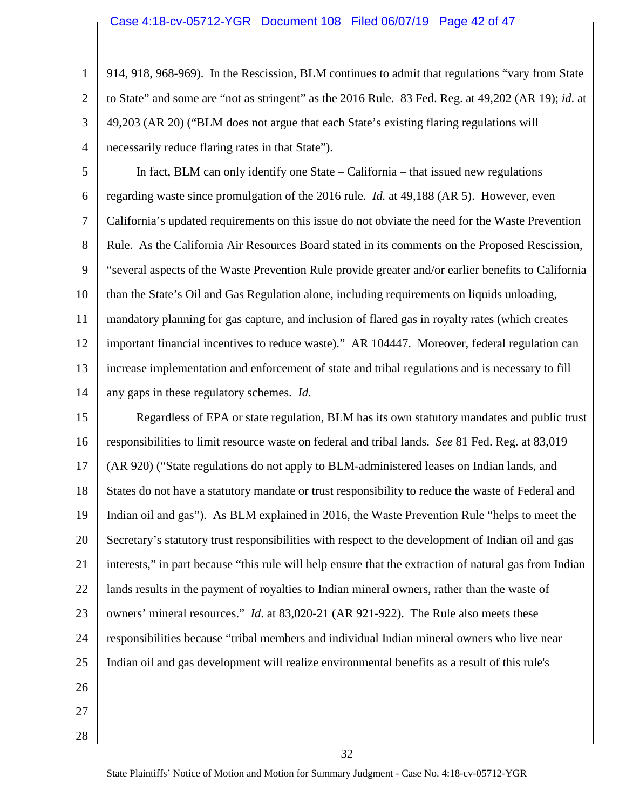1 2 3 4 914, 918, 968-969). In the Rescission, BLM continues to admit that regulations "vary from State to State" and some are "not as stringent" as the 2016 Rule. 83 Fed. Reg. at 49,202 (AR 19); *id*. at 49,203 (AR 20) ("BLM does not argue that each State's existing flaring regulations will necessarily reduce flaring rates in that State").

5 6 7 8 9 10 11 12 13 14 In fact, BLM can only identify one State – California – that issued new regulations regarding waste since promulgation of the 2016 rule. *Id.* at 49,188 (AR 5). However, even California's updated requirements on this issue do not obviate the need for the Waste Prevention Rule. As the California Air Resources Board stated in its comments on the Proposed Rescission, "several aspects of the Waste Prevention Rule provide greater and/or earlier benefits to California than the State's Oil and Gas Regulation alone, including requirements on liquids unloading, mandatory planning for gas capture, and inclusion of flared gas in royalty rates (which creates important financial incentives to reduce waste)." AR 104447. Moreover, federal regulation can increase implementation and enforcement of state and tribal regulations and is necessary to fill any gaps in these regulatory schemes. *Id*.

15 16 17 18 19 20 21 22 23 24 25 26 Regardless of EPA or state regulation, BLM has its own statutory mandates and public trust responsibilities to limit resource waste on federal and tribal lands. *See* 81 Fed. Reg. at 83,019 (AR 920) ("State regulations do not apply to BLM-administered leases on Indian lands, and States do not have a statutory mandate or trust responsibility to reduce the waste of Federal and Indian oil and gas"). As BLM explained in 2016, the Waste Prevention Rule "helps to meet the Secretary's statutory trust responsibilities with respect to the development of Indian oil and gas interests," in part because "this rule will help ensure that the extraction of natural gas from Indian lands results in the payment of royalties to Indian mineral owners, rather than the waste of owners' mineral resources." *Id*. at 83,020-21 (AR 921-922). The Rule also meets these responsibilities because "tribal members and individual Indian mineral owners who live near Indian oil and gas development will realize environmental benefits as a result of this rule's

28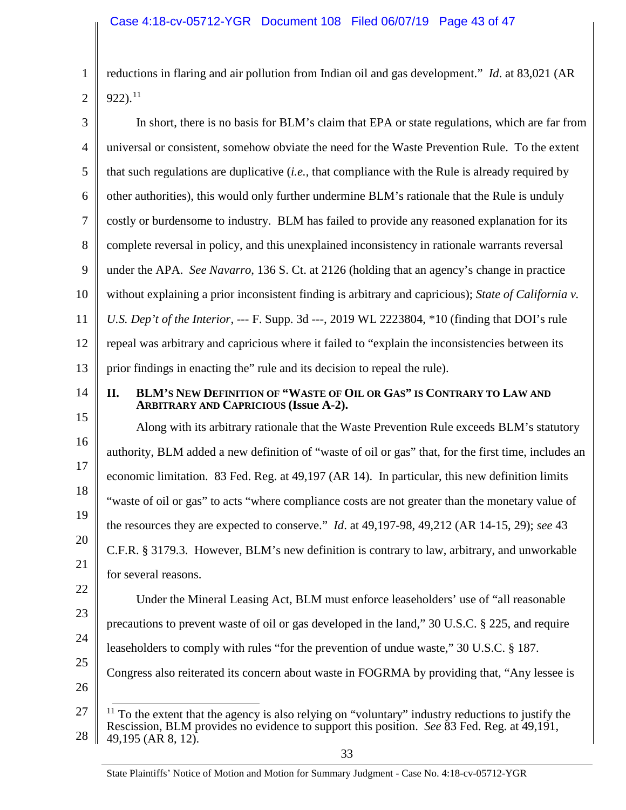1 2 reductions in flaring and air pollution from Indian oil and gas development." *Id*. at 83,021 (AR  $922$ ).<sup>[11](#page-42-1)</sup>

<span id="page-42-0"></span>

| 3               | In short, there is no basis for BLM's claim that EPA or state regulations, which are far from                                                                                                      |  |  |  |  |  |
|-----------------|----------------------------------------------------------------------------------------------------------------------------------------------------------------------------------------------------|--|--|--|--|--|
| 4               | universal or consistent, somehow obviate the need for the Waste Prevention Rule. To the extent                                                                                                     |  |  |  |  |  |
| 5               | that such regulations are duplicative $(i.e., that compliance with the Rule is already required by$                                                                                                |  |  |  |  |  |
| 6               | other authorities), this would only further undermine BLM's rationale that the Rule is unduly                                                                                                      |  |  |  |  |  |
| $\tau$          | costly or burdensome to industry. BLM has failed to provide any reasoned explanation for its                                                                                                       |  |  |  |  |  |
| 8               | complete reversal in policy, and this unexplained inconsistency in rationale warrants reversal                                                                                                     |  |  |  |  |  |
| 9               | under the APA. See Navarro, 136 S. Ct. at 2126 (holding that an agency's change in practice                                                                                                        |  |  |  |  |  |
| 10              | without explaining a prior inconsistent finding is arbitrary and capricious); State of California v.                                                                                               |  |  |  |  |  |
| 11              | U.S. Dep't of the Interior, --- F. Supp. 3d ---, 2019 WL 2223804, *10 (finding that DOI's rule                                                                                                     |  |  |  |  |  |
| 12              | repeal was arbitrary and capricious where it failed to "explain the inconsistencies between its                                                                                                    |  |  |  |  |  |
| 13              | prior findings in enacting the" rule and its decision to repeal the rule).                                                                                                                         |  |  |  |  |  |
| 14              | BLM'S NEW DEFINITION OF "WASTE OF OIL OR GAS" IS CONTRARY TO LAW AND<br>II.<br><b>ARBITRARY AND CAPRICIOUS (Issue A-2).</b>                                                                        |  |  |  |  |  |
| 15              | Along with its arbitrary rationale that the Waste Prevention Rule exceeds BLM's statutory                                                                                                          |  |  |  |  |  |
| 16              | authority, BLM added a new definition of "waste of oil or gas" that, for the first time, includes an                                                                                               |  |  |  |  |  |
| 17              | economic limitation. 83 Fed. Reg. at 49,197 (AR 14). In particular, this new definition limits                                                                                                     |  |  |  |  |  |
| 18              | "waste of oil or gas" to acts "where compliance costs are not greater than the monetary value of                                                                                                   |  |  |  |  |  |
| 19              | the resources they are expected to conserve." <i>Id.</i> at 49,197-98, 49,212 (AR 14-15, 29); see 43                                                                                               |  |  |  |  |  |
| 20              | C.F.R. § 3179.3. However, BLM's new definition is contrary to law, arbitrary, and unworkable                                                                                                       |  |  |  |  |  |
| 21              | for several reasons.                                                                                                                                                                               |  |  |  |  |  |
| 22              | Under the Mineral Leasing Act, BLM must enforce leaseholders' use of "all reasonable"                                                                                                              |  |  |  |  |  |
| 23              | precautions to prevent waste of oil or gas developed in the land," 30 U.S.C. § 225, and require                                                                                                    |  |  |  |  |  |
| 24              | leaseholders to comply with rules "for the prevention of undue waste," 30 U.S.C. § 187.                                                                                                            |  |  |  |  |  |
| 25<br>26        | Congress also reiterated its concern about waste in FOGRMA by providing that, "Any lessee is                                                                                                       |  |  |  |  |  |
| 27<br>$\bigcap$ | $11$ To the extent that the agency is also relying on "voluntary" industry reductions to justify the<br>Rescission, BLM provides no evidence to support this position. See 83 Fed. Reg. at 49,191, |  |  |  |  |  |

<span id="page-42-1"></span>28 49,195 (AR 8, 12).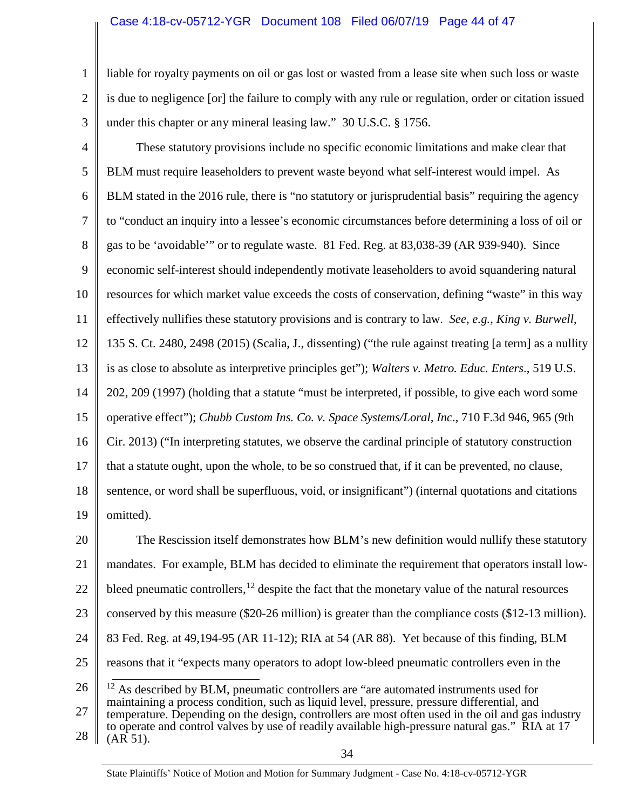# Case 4:18-cv-05712-YGR Document 108 Filed 06/07/19 Page 44 of 47

1 2 3 liable for royalty payments on oil or gas lost or wasted from a lease site when such loss or waste is due to negligence [or] the failure to comply with any rule or regulation, order or citation issued under this chapter or any mineral leasing law." 30 U.S.C. § 1756.

4 5 6 7 8 9 10 11 12 13 14 15 16 17 18 19 20 These statutory provisions include no specific economic limitations and make clear that BLM must require leaseholders to prevent waste beyond what self-interest would impel. As BLM stated in the 2016 rule, there is "no statutory or jurisprudential basis" requiring the agency to "conduct an inquiry into a lessee's economic circumstances before determining a loss of oil or gas to be 'avoidable'" or to regulate waste. 81 Fed. Reg. at 83,038-39 (AR 939-940). Since economic self-interest should independently motivate leaseholders to avoid squandering natural resources for which market value exceeds the costs of conservation, defining "waste" in this way effectively nullifies these statutory provisions and is contrary to law. *See, e.g., King v. Burwell*, 135 S. Ct. 2480, 2498 (2015) (Scalia, J., dissenting) ("the rule against treating [a term] as a nullity is as close to absolute as interpretive principles get"); *Walters v. Metro. Educ. Enters*., 519 U.S. 202, 209 (1997) (holding that a statute "must be interpreted, if possible, to give each word some operative effect"); *Chubb Custom Ins. Co. v. Space Systems/Loral, Inc*., 710 F.3d 946, 965 (9th Cir. 2013) ("In interpreting statutes, we observe the cardinal principle of statutory construction that a statute ought, upon the whole, to be so construed that, if it can be prevented, no clause, sentence, or word shall be superfluous, void, or insignificant") (internal quotations and citations omitted). The Rescission itself demonstrates how BLM's new definition would nullify these statutory

21 22 23 24 25 26 27 mandates. For example, BLM has decided to eliminate the requirement that operators install low-bleed pneumatic controllers,<sup>[12](#page-43-0)</sup> despite the fact that the monetary value of the natural resources conserved by this measure (\$20-26 million) is greater than the compliance costs (\$12-13 million). 83 Fed. Reg. at 49,194-95 (AR 11-12); RIA at 54 (AR 88). Yet because of this finding, BLM reasons that it "expects many operators to adopt low-bleed pneumatic controllers even in the  $12$  As described by BLM, pneumatic controllers are "are automated instruments used for maintaining a process condition, such as liquid level, pressure, pressure differential, and temperature. Depending on the design, controllers are most often used in the oil and gas industry

<span id="page-43-0"></span>28 to operate and control valves by use of readily available high-pressure natural gas." RIA at 17 (AR 51).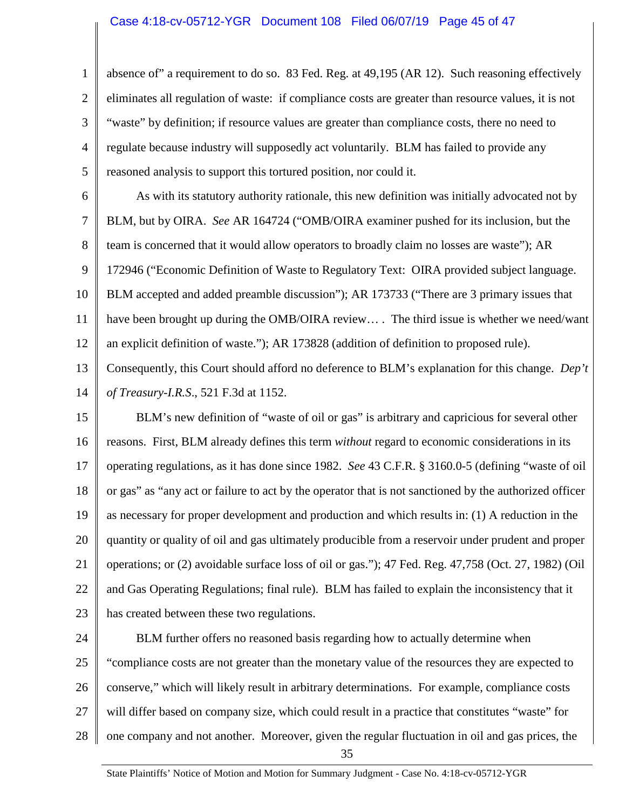### Case 4:18-cv-05712-YGR Document 108 Filed 06/07/19 Page 45 of 47

1 2 3 4 5 absence of" a requirement to do so. 83 Fed. Reg. at 49,195 (AR 12). Such reasoning effectively eliminates all regulation of waste: if compliance costs are greater than resource values, it is not "waste" by definition; if resource values are greater than compliance costs, there no need to regulate because industry will supposedly act voluntarily. BLM has failed to provide any reasoned analysis to support this tortured position, nor could it.

6 7 8 9 10 11 12 13 As with its statutory authority rationale, this new definition was initially advocated not by BLM, but by OIRA. *See* AR 164724 ("OMB/OIRA examiner pushed for its inclusion, but the team is concerned that it would allow operators to broadly claim no losses are waste"); AR 172946 ("Economic Definition of Waste to Regulatory Text: OIRA provided subject language. BLM accepted and added preamble discussion"); AR 173733 ("There are 3 primary issues that have been brought up during the OMB/OIRA review.... The third issue is whether we need/want an explicit definition of waste."); AR 173828 (addition of definition to proposed rule). Consequently, this Court should afford no deference to BLM's explanation for this change. *Dep't*

15 16 17 18 19 20 21 22 23 BLM's new definition of "waste of oil or gas" is arbitrary and capricious for several other reasons. First, BLM already defines this term *without* regard to economic considerations in its operating regulations, as it has done since 1982. *See* 43 C.F.R. § 3160.0-5 (defining "waste of oil or gas" as "any act or failure to act by the operator that is not sanctioned by the authorized officer as necessary for proper development and production and which results in: (1) A reduction in the quantity or quality of oil and gas ultimately producible from a reservoir under prudent and proper operations; or (2) avoidable surface loss of oil or gas."); 47 Fed. Reg. 47,758 (Oct. 27, 1982) (Oil and Gas Operating Regulations; final rule). BLM has failed to explain the inconsistency that it has created between these two regulations.

14

*of Treasury-I.R.S*., 521 F.3d at 1152.

24 25 26 27 28 BLM further offers no reasoned basis regarding how to actually determine when "compliance costs are not greater than the monetary value of the resources they are expected to conserve," which will likely result in arbitrary determinations. For example, compliance costs will differ based on company size, which could result in a practice that constitutes "waste" for one company and not another. Moreover, given the regular fluctuation in oil and gas prices, the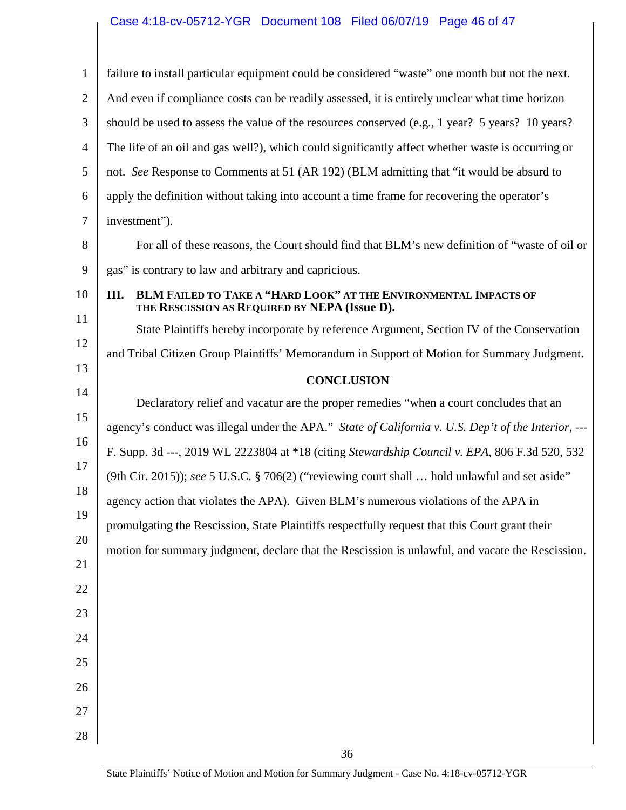# Case 4:18-cv-05712-YGR Document 108 Filed 06/07/19 Page 46 of 47

<span id="page-45-1"></span><span id="page-45-0"></span>

| 1              | failure to install particular equipment could be considered "waste" one month but not the next.                           |  |  |  |  |  |  |  |
|----------------|---------------------------------------------------------------------------------------------------------------------------|--|--|--|--|--|--|--|
| $\overline{2}$ | And even if compliance costs can be readily assessed, it is entirely unclear what time horizon                            |  |  |  |  |  |  |  |
| 3              | should be used to assess the value of the resources conserved (e.g., 1 year? 5 years? 10 years?                           |  |  |  |  |  |  |  |
| $\overline{4}$ | The life of an oil and gas well?), which could significantly affect whether waste is occurring or                         |  |  |  |  |  |  |  |
| 5              | not. See Response to Comments at 51 (AR 192) (BLM admitting that "it would be absurd to                                   |  |  |  |  |  |  |  |
| 6              | apply the definition without taking into account a time frame for recovering the operator's                               |  |  |  |  |  |  |  |
| 7              | investment").                                                                                                             |  |  |  |  |  |  |  |
| 8              | For all of these reasons, the Court should find that BLM's new definition of "waste of oil or                             |  |  |  |  |  |  |  |
| 9              | gas" is contrary to law and arbitrary and capricious.                                                                     |  |  |  |  |  |  |  |
| 10             | BLM FAILED TO TAKE A "HARD LOOK" AT THE ENVIRONMENTAL IMPACTS OF<br>III.<br>THE RESCISSION AS REQUIRED BY NEPA (Issue D). |  |  |  |  |  |  |  |
| 11             | State Plaintiffs hereby incorporate by reference Argument, Section IV of the Conservation                                 |  |  |  |  |  |  |  |
| 12             | and Tribal Citizen Group Plaintiffs' Memorandum in Support of Motion for Summary Judgment.<br><b>CONCLUSION</b>           |  |  |  |  |  |  |  |
| 13             |                                                                                                                           |  |  |  |  |  |  |  |
| 14             | Declaratory relief and vacatur are the proper remedies "when a court concludes that an                                    |  |  |  |  |  |  |  |
| 15             | agency's conduct was illegal under the APA." State of California v. U.S. Dep't of the Interior, ---                       |  |  |  |  |  |  |  |
| 16             | F. Supp. 3d ---, 2019 WL 2223804 at *18 (citing Stewardship Council v. EPA, 806 F.3d 520, 532                             |  |  |  |  |  |  |  |
| 17             | (9th Cir. 2015)); see 5 U.S.C. § 706(2) ("reviewing court shall  hold unlawful and set aside"                             |  |  |  |  |  |  |  |
| 18             | agency action that violates the APA). Given BLM's numerous violations of the APA in                                       |  |  |  |  |  |  |  |
| 19             | promulgating the Rescission, State Plaintiffs respectfully request that this Court grant their                            |  |  |  |  |  |  |  |
| 20             | motion for summary judgment, declare that the Rescission is unlawful, and vacate the Rescission.                          |  |  |  |  |  |  |  |
| 21             |                                                                                                                           |  |  |  |  |  |  |  |
| 22             |                                                                                                                           |  |  |  |  |  |  |  |
| 23             |                                                                                                                           |  |  |  |  |  |  |  |
| 24             |                                                                                                                           |  |  |  |  |  |  |  |
| 25             |                                                                                                                           |  |  |  |  |  |  |  |
| 26             |                                                                                                                           |  |  |  |  |  |  |  |
| 27             |                                                                                                                           |  |  |  |  |  |  |  |
| 28             |                                                                                                                           |  |  |  |  |  |  |  |